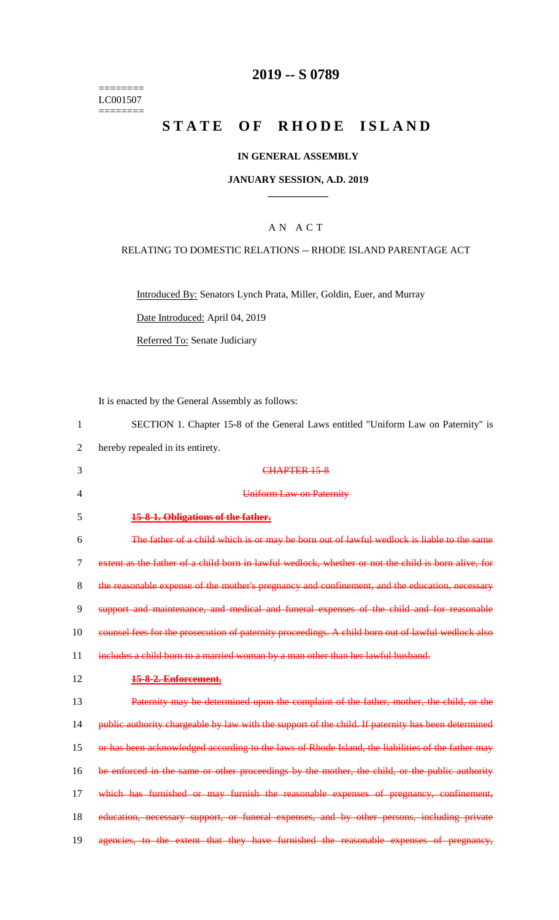======== LC001507 ========

### **2019 -- S 0789**

# **STATE OF RHODE ISLAND**

### **IN GENERAL ASSEMBLY**

### **JANUARY SESSION, A.D. 2019 \_\_\_\_\_\_\_\_\_\_\_\_**

### A N A C T

#### RELATING TO DOMESTIC RELATIONS -- RHODE ISLAND PARENTAGE ACT

Introduced By: Senators Lynch Prata, Miller, Goldin, Euer, and Murray

Date Introduced: April 04, 2019

Referred To: Senate Judiciary

It is enacted by the General Assembly as follows:

1 SECTION 1. Chapter 15-8 of the General Laws entitled "Uniform Law on Paternity" is 2 hereby repealed in its entirety.

- 3 CHAPTER 15-8
- 4 Uniform Law on Paternity
- 

5 **15-8-1. Obligations of the father.**

|    | The father of a child which is or may be born out of lawful wedlock is liable to                    |
|----|-----------------------------------------------------------------------------------------------------|
|    | extent as the father of a child born in lawful wedlock, whether or not the child is born alive, for |
| 8  | the reasonable expense of the mother's pregnancy and confinement, and the education, necessary      |
| O  | support and maintenance, and medical and funeral expenses of the child and for reasonable           |
| 10 | counsel fees for the prosecution of paternity proceedings. A child born out of lawful wedlock also  |
|    | woman by a man other than her lawful husband.                                                       |

#### 12 **15-8-2. Enforcement.**

13 Paternity may be determined upon the complaint of the father, mother, the child, or the 14 public authority chargeable by law with the support of the child. If paternity has been determined 15 or has been acknowledged according to the laws of Rhode Island, the liabilities of the father may 16 be enforced in the same or other proceedings by the mother, the child, or the public authority 17 which has furnished or may furnish the reasonable expenses of pregnancy, confinement, 18 education, necessary support, or funeral expenses, and by other persons, including private 19 agencies, to the extent that they have furnished the reasonable expenses of pregnancy,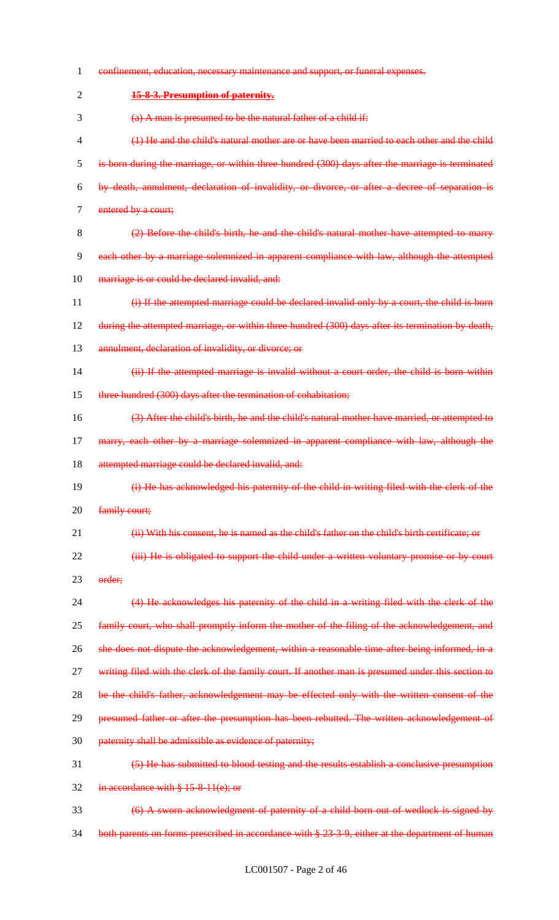| 1              | confinement, education, necessary maintenance and support, or funeral expenses.                    |
|----------------|----------------------------------------------------------------------------------------------------|
| $\overline{2}$ | 15-8-3. Presumption of paternity.                                                                  |
| 3              | (a) A man is presumed to be the natural father of a child if:                                      |
| $\overline{4}$ | (1) He and the child's natural mother are or have been married to each other and the child         |
| 5              | is born during the marriage, or within three hundred (300) days after the marriage is terminated   |
| 6              | by death, annulment, declaration of invalidity, or divorce, or after a decree of separation is     |
| $\overline{7}$ | entered by a court;                                                                                |
| 8              | (2) Before the child's birth, he and the child's natural mother have attempted to marry            |
| 9              | each other by a marriage solemnized in apparent compliance with law, although the attempted        |
| 10             | marriage is or could be declared invalid, and:                                                     |
| 11             | (i) If the attempted marriage could be declared invalid only by a court, the child is born         |
| 12             | during the attempted marriage, or within three hundred (300) days after its termination by death,  |
| 13             | annulment, declaration of invalidity, or divorce; or                                               |
| 14             | (ii) If the attempted marriage is invalid without a court order, the child is born within          |
| 15             | three hundred (300) days after the termination of cohabitation;                                    |
| 16             | (3) After the child's birth, he and the child's natural mother have married, or attempted to       |
| 17             | marry, each other by a marriage solemnized in apparent compliance with law, although the           |
| 18             | attempted marriage could be declared invalid, and:                                                 |
| 19             | (i) He has acknowledged his paternity of the child in writing filed with the clerk of the          |
| 20             | family court;                                                                                      |
| 21             | (ii) With his consent, he is named as the child's father on the child's birth certificate; or      |
| 22             | (iii) He is obligated to support the child under a written voluntary promise or by court           |
| 23             | order;                                                                                             |
| 24             | (4) He acknowledges his paternity of the child in a writing filed with the clerk of the            |
| 25             | family court, who shall promptly inform the mother of the filing of the acknowledgement, and       |
| 26             | she does not dispute the acknowledgement, within a reasonable time after being informed, in a      |
| 27             | writing filed with the clerk of the family court. If another man is presumed under this section to |
| 28             | be the child's father, acknowledgement may be effected only with the written consent of the        |
| 29             | presumed father or after the presumption has been rebutted. The written acknowledgement of         |
| 30             | paternity shall be admissible as evidence of paternity;                                            |
| 31             | (5) He has submitted to blood testing and the results establish a conclusive presumption           |
| 32             | in accordance with $\frac{8}{5}$ 15 8 11(e); or                                                    |
| 33             | (6) A sworn acknowledgment of paternity of a child born out of wedlock is signed by                |
| 34             | both parents on forms prescribed in accordance with § 23-3-9, either at the department of human    |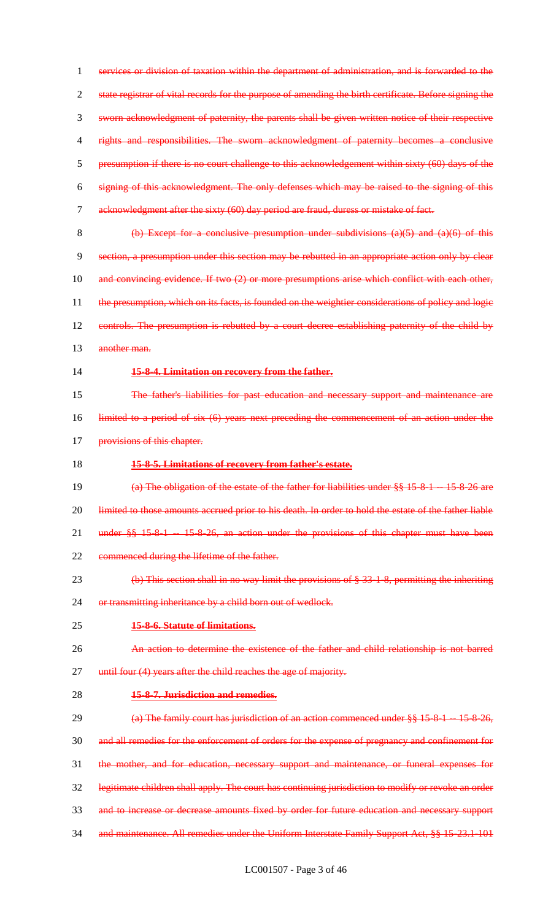services or division of taxation within the department of administration, and is forwarded to the state registrar of vital records for the purpose of amending the birth certificate. Before signing the sworn acknowledgment of paternity, the parents shall be given written notice of their respective rights and responsibilities. The sworn acknowledgment of paternity becomes a conclusive presumption if there is no court challenge to this acknowledgement within sixty (60) days of the signing of this acknowledgment. The only defenses which may be raised to the signing of this acknowledgment after the sixty (60) day period are fraud, duress or mistake of fact. (b) Except for a conclusive presumption under subdivisions (a)(5) and (a)(6) of this section, a presumption under this section may be rebutted in an appropriate action only by clear

10 and convincing evidence. If two (2) or more presumptions arise which conflict with each other, 11 the presumption, which on its facts, is founded on the weightier considerations of policy and logic 12 controls. The presumption is rebutted by a court decree establishing paternity of the child by

- 13 another man.
- 

#### **15-8-4. Limitation on recovery from the father.**

 The father's liabilities for past education and necessary support and maintenance are 16 limited to a period of six (6) years next preceding the commencement of an action under the 17 provisions of this chapter.

### **15-8-5. Limitations of recovery from father's estate.**

 (a) The obligation of the estate of the father for liabilities under §§ 15-8-1 -- 15-8-26 are 20 limited to those amounts accrued prior to his death. In order to hold the estate of the father liable 21 under §§ 15-8-1 -- 15-8-26, an action under the provisions of this chapter must have been 22 commenced during the lifetime of the father.

# (b) This section shall in no way limit the provisions of § 33-1-8, permitting the inheriting

or transmitting inheritance by a child born out of wedlock.

#### **15-8-6. Statute of limitations.**

 An action to determine the existence of the father and child relationship is not barred 27 until four (4) years after the child reaches the age of majority.

#### **15-8-7. Jurisdiction and remedies.**

29 (a) The family court has jurisdiction of an action commenced under §§ 15-8-1 -- 15-8-26, and all remedies for the enforcement of orders for the expense of pregnancy and confinement for the mother, and for education, necessary support and maintenance, or funeral expenses for legitimate children shall apply. The court has continuing jurisdiction to modify or revoke an order and to increase or decrease amounts fixed by order for future education and necessary support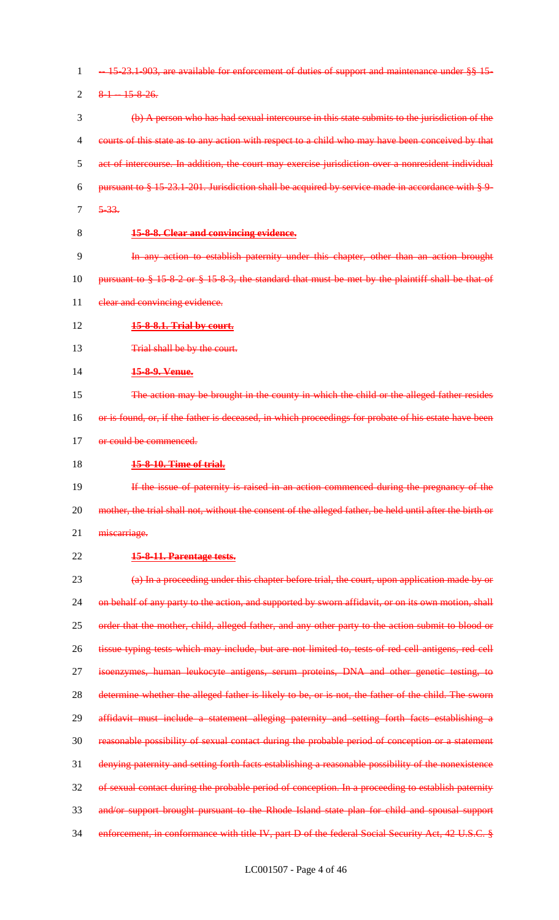1 -- 15-23.1-903, are available for enforcement of duties of support and maintenance under §§ 15-  $2 \quad 8 \quad 1 \quad 15 \quad 8 \quad 26.$ 3 (b) A person who has had sexual intercourse in this state submits to the jurisdiction of the 4 courts of this state as to any action with respect to a child who may have been conceived by that 5 act of intercourse. In addition, the court may exercise jurisdiction over a nonresident individual 6 pursuant to § 15-23.1-201. Jurisdiction shall be acquired by service made in accordance with § 9- 7 5-33. 8 **15-8-8. Clear and convincing evidence.** 9 In any action to establish paternity under this chapter, other than an action brought 10 pursuant to § 15-8-2 or § 15-8-3, the standard that must be met by the plaintiff shall be that of 11 elear and convincing evidence. 12 **15-8-8.1. Trial by court.** 13 Trial shall be by the court. 14 **15-8-9. Venue.** 15 The action may be brought in the county in which the child or the alleged father resides 16 or is found, or, if the father is deceased, in which proceedings for probate of his estate have been 17 or could be commenced. 18 **15-8-10. Time of trial.** 19 If the issue of paternity is raised in an action commenced during the pregnancy of the 20 mother, the trial shall not, without the consent of the alleged father, be held until after the birth or 21 miscarriage. 22 **15-8-11. Parentage tests.** 23 (a) In a proceeding under this chapter before trial, the court, upon application made by or 24 on behalf of any party to the action, and supported by sworn affidavit, or on its own motion, shall 25 order that the mother, child, alleged father, and any other party to the action submit to blood or 26 tissue typing tests which may include, but are not limited to, tests of red cell antigens, red cell 27 isoenzymes, human leukocyte antigens, serum proteins, DNA and other genetic testing, to 28 determine whether the alleged father is likely to be, or is not, the father of the child. The sworn 29 affidavit must include a statement alleging paternity and setting forth facts establishing a 30 reasonable possibility of sexual contact during the probable period of conception or a statement 31 denying paternity and setting forth facts establishing a reasonable possibility of the nonexistence 32 of sexual contact during the probable period of conception. In a proceeding to establish paternity 33 and/or support brought pursuant to the Rhode Island state plan for child and spousal support 34 enforcement, in conformance with title IV, part D of the federal Social Security Act, 42 U.S.C. §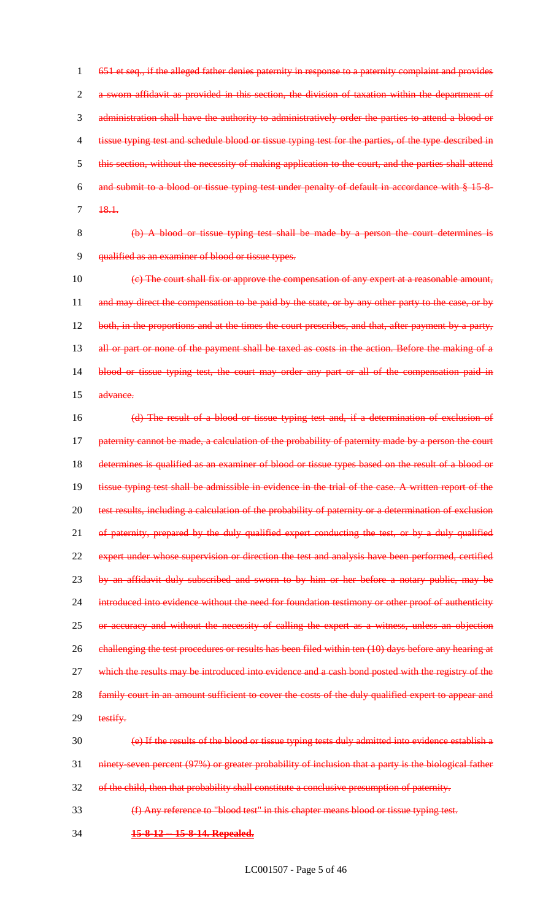651 et seq., if the alleged father denies paternity in response to a paternity complaint and provides a sworn affidavit as provided in this section, the division of taxation within the department of administration shall have the authority to administratively order the parties to attend a blood or tissue typing test and schedule blood or tissue typing test for the parties, of the type described in this section, without the necessity of making application to the court, and the parties shall attend and submit to a blood or tissue typing test under penalty of default in accordance with § 15-8-  $7 \frac{18.1}{18.1}$ 

8 (b) A blood or tissue typing test shall be made by a person the court determines is

9 qualified as an examiner of blood or tissue types.

10 (c) The court shall fix or approve the compensation of any expert at a reasonable amount, 11 and may direct the compensation to be paid by the state, or by any other party to the case, or by 12 both, in the proportions and at the times the court prescribes, and that, after payment by a party, 13 all or part or none of the payment shall be taxed as costs in the action. Before the making of a 14 blood or tissue typing test, the court may order any part or all of the compensation paid in 15 advance.

16 (d) The result of a blood or tissue typing test and, if a determination of exclusion of 17 paternity cannot be made, a calculation of the probability of paternity made by a person the court 18 determines is qualified as an examiner of blood or tissue types based on the result of a blood or 19 tissue typing test shall be admissible in evidence in the trial of the case. A written report of the 20 test results, including a calculation of the probability of paternity or a determination of exclusion 21 of paternity, prepared by the duly qualified expert conducting the test, or by a duly qualified 22 expert under whose supervision or direction the test and analysis have been performed, certified 23 by an affidavit duly subscribed and sworn to by him or her before a notary public, may be 24 introduced into evidence without the need for foundation testimony or other proof of authenticity 25 or accuracy and without the necessity of calling the expert as a witness, unless an objection 26 challenging the test procedures or results has been filed within ten (10) days before any hearing at 27 which the results may be introduced into evidence and a cash bond posted with the registry of the 28 family court in an amount sufficient to cover the costs of the duly qualified expert to appear and 29 testify. 30 (e) If the results of the blood or tissue typing tests duly admitted into evidence establish a

31 ninety-seven percent (97%) or greater probability of inclusion that a party is the biological father

32 of the child, then that probability shall constitute a conclusive presumption of paternity.

33 (f) Any reference to "blood test" in this chapter means blood or tissue typing test.

34 **15-8-12 -- 15-8-14. Repealed.**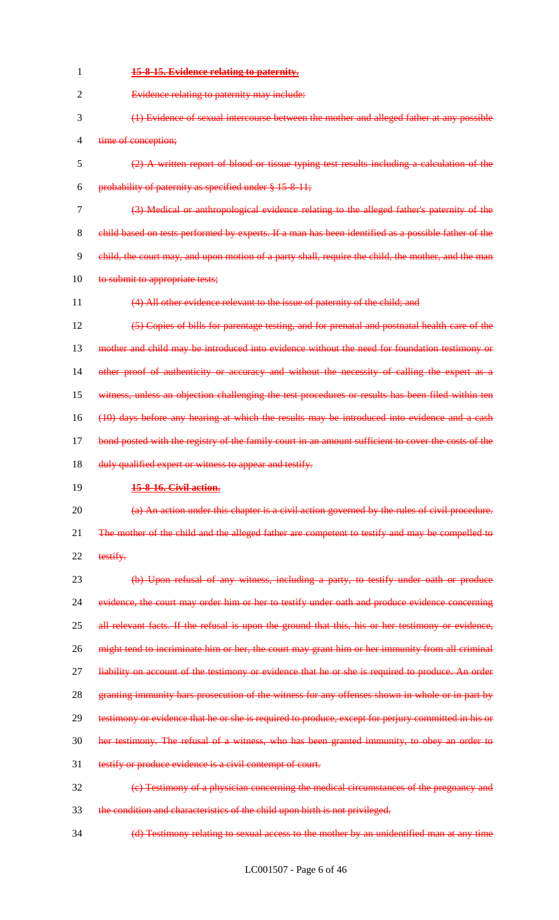| 1  | <b>15-8-15. Evidence relating to paternity.</b>                                                     |
|----|-----------------------------------------------------------------------------------------------------|
| 2  | Evidence relating to paternity may include:                                                         |
| 3  | (1) Evidence of sexual intercourse between the mother and alleged father at any possible            |
| 4  | time of conception;                                                                                 |
| 5  | (2) A written report of blood or tissue typing test results including a calculation of the          |
| 6  | probability of paternity as specified under § 15 8-11;                                              |
| 7  | (3) Medical or anthropological evidence relating to the alleged father's paternity of the           |
| 8  | child based on tests performed by experts. If a man has been identified as a possible father of the |
| 9  | child, the court may, and upon motion of a party shall, require the child, the mother, and the man  |
| 10 | to submit to appropriate tests;                                                                     |
| 11 | (4) All other evidence relevant to the issue of paternity of the child; and                         |
| 12 | (5) Copies of bills for parentage testing, and for prenatal and postnatal health care of the        |
| 13 | mother and child may be introduced into evidence without the need for foundation testimony or       |
| 14 | other proof of authenticity or accuracy and without the necessity of calling the expert as a        |
| 15 | witness, unless an objection challenging the test procedures or results has been filed within ten   |
| 16 | (10) days before any hearing at which the results may be introduced into evidence and a cash        |
| 17 | bond posted with the registry of the family court in an amount sufficient to cover the costs of the |
| 18 | duly qualified expert or witness to appear and testify.                                             |
| 19 | 15-8-16. Civil action.                                                                              |
| 20 | (a) An action under this chapter is a civil action governed by the rules of civil procedure.        |
| 21 | The mother of the child and the alleged father are competent to testify and may be compelled to     |
| 22 | testify.                                                                                            |
| 23 | (b) Upon refusal of any witness, including a party, to testify under oath or produce                |
| 24 | evidence, the court may order him or her to testify under oath and produce evidence concerning      |
| 25 | all relevant facts. If the refusal is upon the ground that this, his or her testimony or evidence,  |
| 26 | might tend to incriminate him or her, the court may grant him or her immunity from all criminal     |
| 27 | liability on account of the testimony or evidence that he or she is required to produce. An order   |
| 28 | granting immunity bars prosecution of the witness for any offenses shown in whole or in part by     |
| 29 | testimony or evidence that he or she is required to produce, except for perjury committed in his or |
| 30 | her testimony. The refusal of a witness, who has been granted immunity, to obey an order to         |
| 31 | testify or produce evidence is a civil contempt of court.                                           |
| 32 | (e) Testimony of a physician concerning the medical circumstances of the pregnancy and              |
| 33 | the condition and characteristics of the child upon birth is not privileged.                        |
| 34 | (d) Testimony relating to sexual access to the mother by an unidentified man at any time            |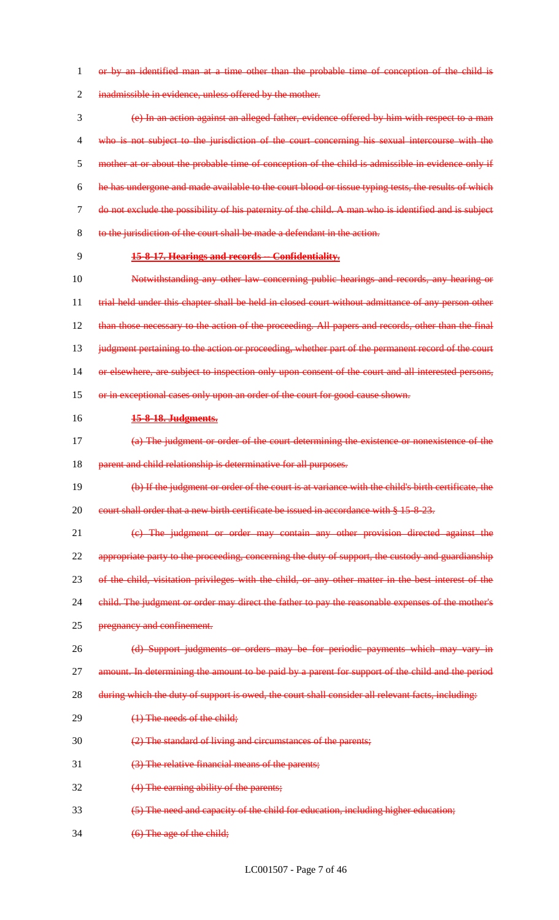1 or by an identified man at a time other than the probable time of conception of the child is

2 inadmissible in evidence, unless offered by the mother.

 (e) In an action against an alleged father, evidence offered by him with respect to a man who is not subject to the jurisdiction of the court concerning his sexual intercourse with the 5 mother at or about the probable time of conception of the child is admissible in evidence only if he has undergone and made available to the court blood or tissue typing tests, the results of which do not exclude the possibility of his paternity of the child. A man who is identified and is subject to the jurisdiction of the court shall be made a defendant in the action.

### 9 **15-8-17. Hearings and records -- Confidentiality.**

10 Notwithstanding any other law concerning public hearings and records, any hearing or 11 trial held under this chapter shall be held in closed court without admittance of any person other 12 than those necessary to the action of the proceeding. All papers and records, other than the final 13 judgment pertaining to the action or proceeding, whether part of the permanent record of the court 14 or elsewhere, are subject to inspection only upon consent of the court and all interested persons, 15 or in exceptional cases only upon an order of the court for good cause shown.

- 16 **15-8-18. Judgments.**
- 17 (a) The judgment or order of the court determining the existence or nonexistence of the 18 parent and child relationship is determinative for all purposes.
- 19 (b) If the judgment or order of the court is at variance with the child's birth certificate, the 20 court shall order that a new birth certificate be issued in accordance with § 15-8-23.
- 21 (c) The judgment or order may contain any other provision directed against the
- 22 appropriate party to the proceeding, concerning the duty of support, the custody and guardianship
- 23 of the child, visitation privileges with the child, or any other matter in the best interest of the
- 24 child. The judgment or order may direct the father to pay the reasonable expenses of the mother's
- 25 pregnancy and confinement.
- 26 (d) Support judgments or orders may be for periodic payments which may vary in
- 27 amount. In determining the amount to be paid by a parent for support of the child and the period
- 28 during which the duty of support is owed, the court shall consider all relevant facts, including:
- 29 (1) The needs of the child;
- 30 (2) The standard of living and circumstances of the parents;
- 31 (3) The relative financial means of the parents;
- 32 (4) The earning ability of the parents;
- 33 (5) The need and capacity of the child for education, including higher education;
- 34 (6) The age of the child;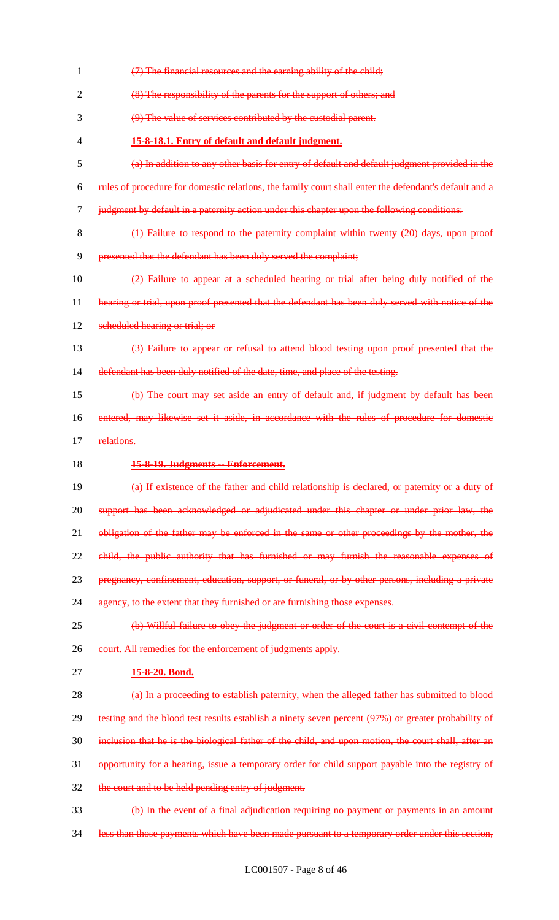| $\mathbf{1}$   | (7) The financial resources and the earning ability of the child;                                     |
|----------------|-------------------------------------------------------------------------------------------------------|
| $\overline{2}$ | (8) The responsibility of the parents for the support of others; and                                  |
| 3              | (9) The value of services contributed by the custodial parent.                                        |
| 4              | 15-8-18.1. Entry of default and default judgment.                                                     |
| 5              | (a) In addition to any other basis for entry of default and default judgment provided in the          |
| 6              | rules of procedure for domestic relations, the family court shall enter the defendant's default and a |
| 7              | judgment by default in a paternity action under this chapter upon the following conditions:           |
| 8              | (1) Failure to respond to the paternity complaint within twenty (20) days, upon proof                 |
| 9              | presented that the defendant has been duly served the complaint;                                      |
| 10             | (2) Failure to appear at a scheduled hearing or trial after being duly notified of the                |
| 11             | hearing or trial, upon proof presented that the defendant has been duly served with notice of the     |
| 12             | scheduled hearing or trial; or                                                                        |
| 13             | (3) Failure to appear or refusal to attend blood testing upon proof presented that the                |
| 14             | defendant has been duly notified of the date, time, and place of the testing.                         |
| 15             | (b) The court may set aside an entry of default and, if judgment by default has been                  |
| 16             | entered, may likewise set it aside, in accordance with the rules of procedure for domestic            |
| 17             | relations.                                                                                            |
| 18             | 15-8-19. Judgments -- Enforcement.                                                                    |
| 19             | (a) If existence of the father and child relationship is declared, or paternity or a duty of          |
| 20             | support has been acknowledged or adjudicated under this chapter or under prior law, the               |
| 21             | obligation of the father may be enforced in the same or other proceedings by the mother, the          |
| 22             | child, the public authority that has furnished or may furnish the reasonable expenses of              |
| 23             | pregnancy, confinement, education, support, or funeral, or by other persons, including a private      |
| 24             | agency, to the extent that they furnished or are furnishing those expenses.                           |
| 25             | (b) Willful failure to obey the judgment or order of the court is a civil contempt of the             |
| 26             | court. All remedies for the enforcement of judgments apply.                                           |
| 27             | 15-8-20. Bond.                                                                                        |
| 28             | (a) In a proceeding to establish paternity, when the alleged father has submitted to blood            |
| 29             | testing and the blood test results establish a ninety seven percent (97%) or greater probability of   |
| 30             | inclusion that he is the biological father of the child, and upon motion, the court shall, after an   |
| 31             | opportunity for a hearing, issue a temporary order for child support payable into the registry of     |
| 32             | the court and to be held pending entry of judgment.                                                   |
| 33             | (b) In the event of a final adjudication requiring no payment or payments in an amount                |
| 34             | less than those payments which have been made pursuant to a temporary order under this section,       |
|                |                                                                                                       |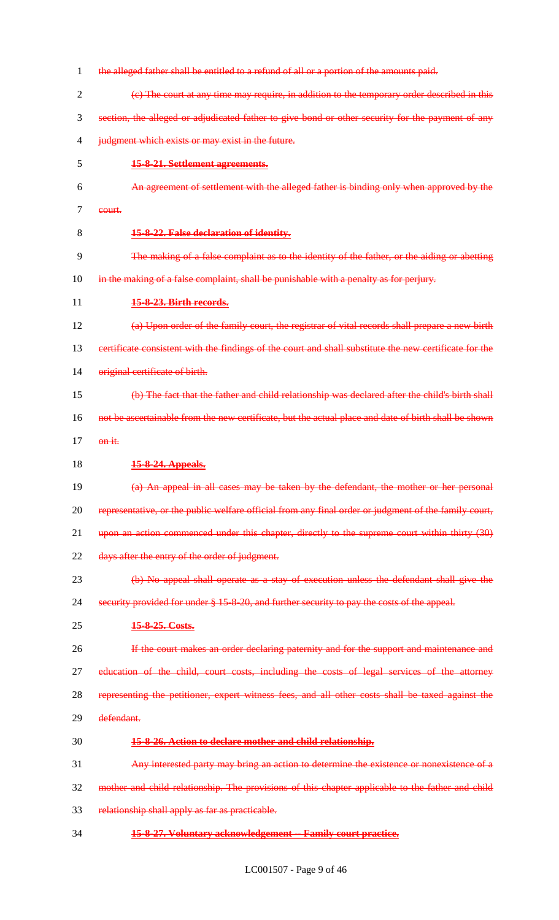the alleged father shall be entitled to a refund of all or a portion of the amounts paid. (c) The court at any time may require, in addition to the temporary order described in this section, the alleged or adjudicated father to give bond or other security for the payment of any 4 judgment which exists or may exist in the future. **15-8-21. Settlement agreements.** An agreement of settlement with the alleged father is binding only when approved by the court. **15-8-22. False declaration of identity.** The making of a false complaint as to the identity of the father, or the aiding or abetting in the making of a false complaint, shall be punishable with a penalty as for perjury. **15-8-23. Birth records.** (a) Upon order of the family court, the registrar of vital records shall prepare a new birth 13 certificate consistent with the findings of the court and shall substitute the new certificate for the 14 original certificate of birth. (b) The fact that the father and child relationship was declared after the child's birth shall 16 not be ascertainable from the new certificate, but the actual place and date of birth shall be shown 17 on it. **15-8-24. Appeals.** (a) An appeal in all cases may be taken by the defendant, the mother or her personal 20 representative, or the public welfare official from any final order or judgment of the family court, 21 upon an action commenced under this chapter, directly to the supreme court within thirty (30) 22 days after the entry of the order of judgment. (b) No appeal shall operate as a stay of execution unless the defendant shall give the 24 security provided for under § 15-8-20, and further security to pay the costs of the appeal. **15-8-25. Costs. If the court makes an order declaring paternity and for the support and maintenance and** 27 education of the child, court costs, including the costs of legal services of the attorney 28 representing the petitioner, expert witness fees, and all other costs shall be taxed against the defendant. **15-8-26. Action to declare mother and child relationship.** Any interested party may bring an action to determine the existence or nonexistence of a mother and child relationship. The provisions of this chapter applicable to the father and child relationship shall apply as far as practicable. **15-8-27. Voluntary acknowledgement -- Family court practice.**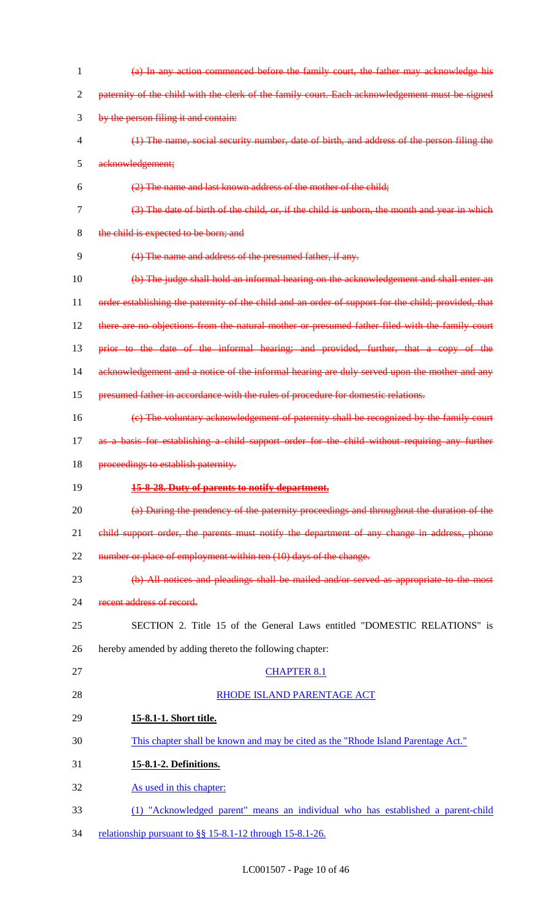(a) In any action commenced before the family court, the father may acknowledge his paternity of the child with the clerk of the family court. Each acknowledgement must be signed by the person filing it and contain: (1) The name, social security number, date of birth, and address of the person filing the acknowledgement; (2) The name and last known address of the mother of the child; (3) The date of birth of the child, or, if the child is unborn, the month and year in which the child is expected to be born; and (4) The name and address of the presumed father, if any. (b) The judge shall hold an informal hearing on the acknowledgement and shall enter an 11 order establishing the paternity of the child and an order of support for the child; provided, that 12 there are no objections from the natural mother or presumed father filed with the family court 13 prior to the date of the informal hearing; and provided, further, that a copy of the 14 acknowledgement and a notice of the informal hearing are duly served upon the mother and any presumed father in accordance with the rules of procedure for domestic relations. (c) The voluntary acknowledgement of paternity shall be recognized by the family court 17 as a basis for establishing a child support order for the child without requiring any further 18 proceedings to establish paternity. **15-8-28. Duty of parents to notify department.** (a) During the pendency of the paternity proceedings and throughout the duration of the 21 child support order, the parents must notify the department of any change in address, phone 22 number or place of employment within ten (10) days of the change. (b) All notices and pleadings shall be mailed and/or served as appropriate to the most 24 recent address of record. SECTION 2. Title 15 of the General Laws entitled "DOMESTIC RELATIONS" is hereby amended by adding thereto the following chapter: CHAPTER 8.1 RHODE ISLAND PARENTAGE ACT **15-8.1-1. Short title.** This chapter shall be known and may be cited as the "Rhode Island Parentage Act." **15-8.1-2. Definitions.** As used in this chapter: (1) "Acknowledged parent" means an individual who has established a parent-child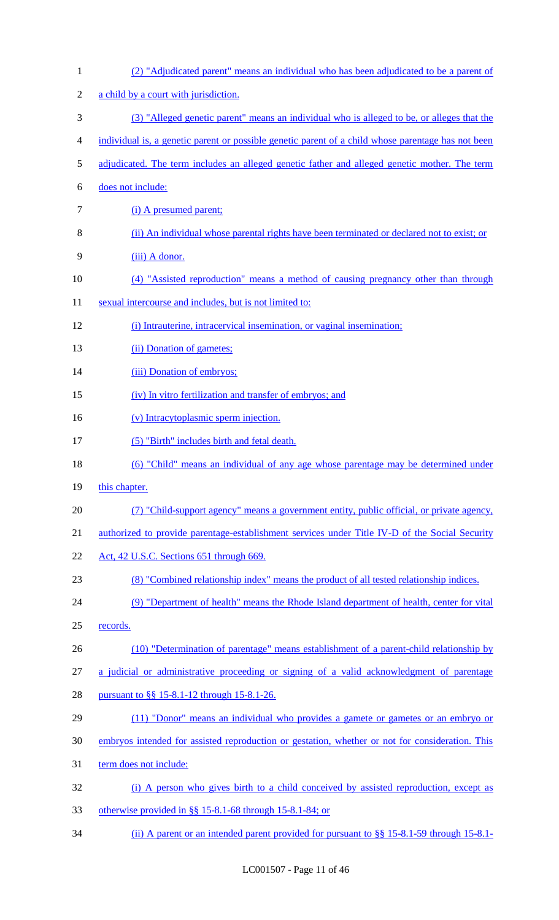| $\mathbf{1}$   | (2) "Adjudicated parent" means an individual who has been adjudicated to be a parent of            |
|----------------|----------------------------------------------------------------------------------------------------|
| $\mathfrak{2}$ | a child by a court with jurisdiction.                                                              |
| 3              | (3) "Alleged genetic parent" means an individual who is alleged to be, or alleges that the         |
| 4              | individual is, a genetic parent or possible genetic parent of a child whose parentage has not been |
| 5              | adjudicated. The term includes an alleged genetic father and alleged genetic mother. The term      |
| 6              | does not include:                                                                                  |
| $\tau$         | (i) A presumed parent;                                                                             |
| 8              | (ii) An individual whose parental rights have been terminated or declared not to exist; or         |
| 9              | (iii) A donor.                                                                                     |
| 10             | (4) "Assisted reproduction" means a method of causing pregnancy other than through                 |
| 11             | sexual intercourse and includes, but is not limited to:                                            |
| 12             | (i) Intrauterine, intracervical insemination, or vaginal insemination;                             |
| 13             | (ii) Donation of gametes;                                                                          |
| 14             | (iii) Donation of embryos;                                                                         |
| 15             | (iv) In vitro fertilization and transfer of embryos; and                                           |
| 16             | (v) Intracytoplasmic sperm injection.                                                              |
| 17             | (5) "Birth" includes birth and fetal death.                                                        |
| 18             | (6) "Child" means an individual of any age whose parentage may be determined under                 |
| 19             | this chapter.                                                                                      |
| 20             | (7) "Child-support agency" means a government entity, public official, or private agency,          |
| 21             | authorized to provide parentage-establishment services under Title IV-D of the Social Security     |
| 22             | Act, 42 U.S.C. Sections 651 through 669.                                                           |
| 23             | (8) "Combined relationship index" means the product of all tested relationship indices.            |
| 24             | (9) "Department of health" means the Rhode Island department of health, center for vital           |
| 25             | records.                                                                                           |
| 26             | (10) "Determination of parentage" means establishment of a parent-child relationship by            |
| 27             | a judicial or administrative proceeding or signing of a valid acknowledgment of parentage          |
| 28             | pursuant to §§ 15-8.1-12 through 15-8.1-26.                                                        |
| 29             | (11) "Donor" means an individual who provides a gamete or gametes or an embryo or                  |
| 30             | embryos intended for assisted reproduction or gestation, whether or not for consideration. This    |
| 31             | term does not include:                                                                             |
| 32             | (i) A person who gives birth to a child conceived by assisted reproduction, except as              |
| 33             | otherwise provided in §§ 15-8.1-68 through 15-8.1-84; or                                           |
| 34             | (ii) A parent or an intended parent provided for pursuant to $\S$ § 15-8.1-59 through 15-8.1-      |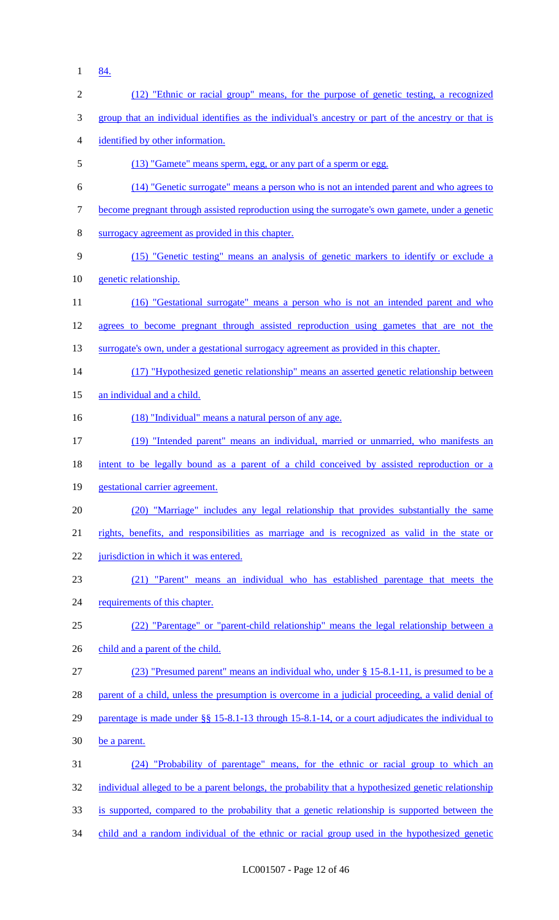1 84.

| $\sqrt{2}$     | (12) "Ethnic or racial group" means, for the purpose of genetic testing, a recognized                |
|----------------|------------------------------------------------------------------------------------------------------|
| 3              | group that an individual identifies as the individual's ancestry or part of the ancestry or that is  |
| 4              | identified by other information.                                                                     |
| 5              | (13) "Gamete" means sperm, egg, or any part of a sperm or egg.                                       |
| 6              | (14) "Genetic surrogate" means a person who is not an intended parent and who agrees to              |
| $\tau$         | become pregnant through assisted reproduction using the surrogate's own gamete, under a genetic      |
| $8\,$          | surrogacy agreement as provided in this chapter.                                                     |
| $\overline{9}$ | (15) "Genetic testing" means an analysis of genetic markers to identify or exclude a                 |
| 10             | genetic relationship.                                                                                |
| 11             | (16) "Gestational surrogate" means a person who is not an intended parent and who                    |
| 12             | agrees to become pregnant through assisted reproduction using gametes that are not the               |
| 13             | surrogate's own, under a gestational surrogacy agreement as provided in this chapter.                |
| 14             | (17) "Hypothesized genetic relationship" means an asserted genetic relationship between              |
| 15             | an individual and a child.                                                                           |
| 16             | (18) "Individual" means a natural person of any age.                                                 |
| 17             | (19) "Intended parent" means an individual, married or unmarried, who manifests an                   |
| 18             | intent to be legally bound as a parent of a child conceived by assisted reproduction or a            |
| 19             | gestational carrier agreement.                                                                       |
| 20             | (20) "Marriage" includes any legal relationship that provides substantially the same                 |
| 21             | rights, benefits, and responsibilities as marriage and is recognized as valid in the state or        |
| 22             | jurisdiction in which it was entered.                                                                |
| 23             | (21) "Parent" means an individual who has established parentage that meets the                       |
| 24             | requirements of this chapter.                                                                        |
| 25             | (22) "Parentage" or "parent-child relationship" means the legal relationship between a               |
| 26             | child and a parent of the child.                                                                     |
| 27             | (23) "Presumed parent" means an individual who, under § 15-8.1-11, is presumed to be a               |
| 28             | parent of a child, unless the presumption is overcome in a judicial proceeding, a valid denial of    |
| 29             | parentage is made under $\S$ § 15-8.1-13 through 15-8.1-14, or a court adjudicates the individual to |
| 30             | be a parent.                                                                                         |
| 31             | (24) "Probability of parentage" means, for the ethnic or racial group to which an                    |
| 32             | individual alleged to be a parent belongs, the probability that a hypothesized genetic relationship  |
| 33             | is supported, compared to the probability that a genetic relationship is supported between the       |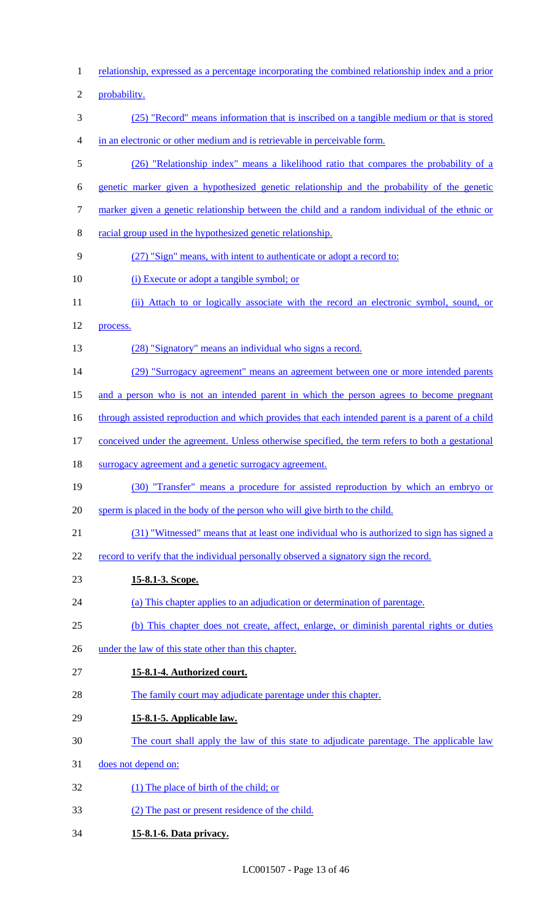relationship, expressed as a percentage incorporating the combined relationship index and a prior probability. (25) "Record" means information that is inscribed on a tangible medium or that is stored in an electronic or other medium and is retrievable in perceivable form. (26) "Relationship index" means a likelihood ratio that compares the probability of a genetic marker given a hypothesized genetic relationship and the probability of the genetic marker given a genetic relationship between the child and a random individual of the ethnic or racial group used in the hypothesized genetic relationship. (27) "Sign" means, with intent to authenticate or adopt a record to: (i) Execute or adopt a tangible symbol; or (ii) Attach to or logically associate with the record an electronic symbol, sound, or process. (28) "Signatory" means an individual who signs a record. (29) "Surrogacy agreement" means an agreement between one or more intended parents and a person who is not an intended parent in which the person agrees to become pregnant 16 through assisted reproduction and which provides that each intended parent is a parent of a child 17 conceived under the agreement. Unless otherwise specified, the term refers to both a gestational 18 surrogacy agreement and a genetic surrogacy agreement. (30) "Transfer" means a procedure for assisted reproduction by which an embryo or sperm is placed in the body of the person who will give birth to the child. (31) "Witnessed" means that at least one individual who is authorized to sign has signed a 22 record to verify that the individual personally observed a signatory sign the record. **15-8.1-3. Scope.** (a) This chapter applies to an adjudication or determination of parentage. (b) This chapter does not create, affect, enlarge, or diminish parental rights or duties 26 under the law of this state other than this chapter. **15-8.1-4. Authorized court.** 28 The family court may adjudicate parentage under this chapter. **15-8.1-5. Applicable law.** The court shall apply the law of this state to adjudicate parentage. The applicable law does not depend on: (1) The place of birth of the child; or (2) The past or present residence of the child. **15-8.1-6. Data privacy.**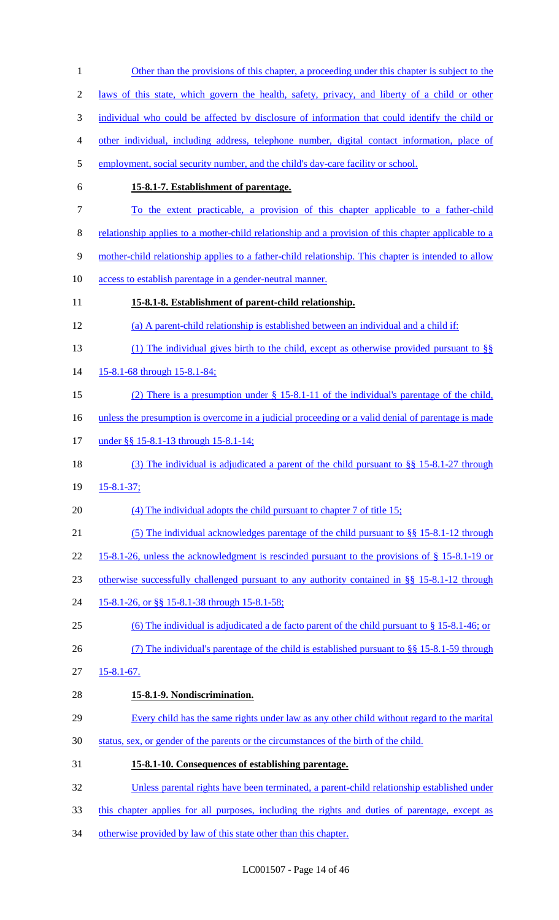| $\mathbf{1}$   | Other than the provisions of this chapter, a proceeding under this chapter is subject to the        |
|----------------|-----------------------------------------------------------------------------------------------------|
| $\mathbf{2}$   | laws of this state, which govern the health, safety, privacy, and liberty of a child or other       |
| $\mathfrak{Z}$ | individual who could be affected by disclosure of information that could identify the child or      |
| $\overline{4}$ | other individual, including address, telephone number, digital contact information, place of        |
| $\mathfrak{S}$ | employment, social security number, and the child's day-care facility or school.                    |
| 6              | 15-8.1-7. Establishment of parentage.                                                               |
| $\overline{7}$ | To the extent practicable, a provision of this chapter applicable to a father-child                 |
| $8\,$          | relationship applies to a mother-child relationship and a provision of this chapter applicable to a |
| 9              | mother-child relationship applies to a father-child relationship. This chapter is intended to allow |
| 10             | access to establish parentage in a gender-neutral manner.                                           |
| 11             | 15-8.1-8. Establishment of parent-child relationship.                                               |
| 12             | (a) A parent-child relationship is established between an individual and a child if:                |
| 13             | (1) The individual gives birth to the child, except as otherwise provided pursuant to $\S$          |
| 14             | 15-8.1-68 through 15-8.1-84;                                                                        |
| 15             | (2) There is a presumption under $\S$ 15-8.1-11 of the individual's parentage of the child,         |
| 16             | unless the presumption is overcome in a judicial proceeding or a valid denial of parentage is made  |
| 17             | under §§ 15-8.1-13 through 15-8.1-14;                                                               |
| 18             | (3) The individual is adjudicated a parent of the child pursuant to §§ 15-8.1-27 through            |
| 19             | $15 - 8.1 - 37$ ;                                                                                   |
| 20             | (4) The individual adopts the child pursuant to chapter 7 of title 15;                              |
| 21             | (5) The individual acknowledges parentage of the child pursuant to $\S$ § 15-8.1-12 through         |
| 22             | 15-8.1-26, unless the acknowledgment is rescinded pursuant to the provisions of $\S$ 15-8.1-19 or   |
| 23             | otherwise successfully challenged pursuant to any authority contained in $\S$ 15-8.1-12 through     |
| 24             | 15-8.1-26, or §§ 15-8.1-38 through 15-8.1-58;                                                       |
| 25             | (6) The individual is adjudicated a de facto parent of the child pursuant to $\S 15-8.1-46$ ; or    |
| 26             | (7) The individual's parentage of the child is established pursuant to $\S$ \$ 15-8.1-59 through    |
| 27             | $15 - 8.1 - 67.$                                                                                    |
| 28             | 15-8.1-9. Nondiscrimination.                                                                        |
| 29             | Every child has the same rights under law as any other child without regard to the marital          |
| 30             | status, sex, or gender of the parents or the circumstances of the birth of the child.               |
| 31             | 15-8.1-10. Consequences of establishing parentage.                                                  |
| 32             | Unless parental rights have been terminated, a parent-child relationship established under          |
| 33             | this chapter applies for all purposes, including the rights and duties of parentage, except as      |
| 34             | otherwise provided by law of this state other than this chapter.                                    |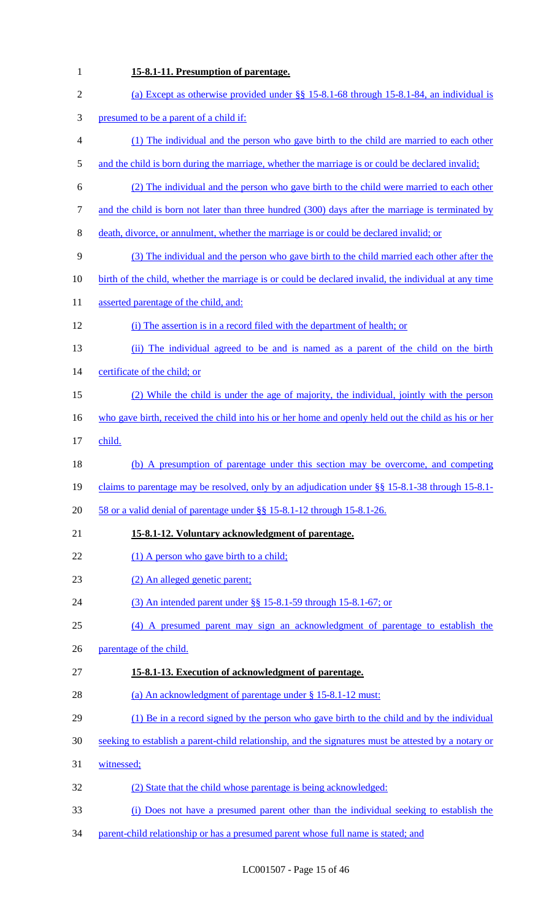| $\mathbf{1}$   | 15-8.1-11. Presumption of parentage.                                                                 |
|----------------|------------------------------------------------------------------------------------------------------|
| $\mathfrak{2}$ | (a) Except as otherwise provided under $\S$ § 15-8.1-68 through 15-8.1-84, an individual is          |
| 3              | presumed to be a parent of a child if:                                                               |
| $\overline{4}$ | (1) The individual and the person who gave birth to the child are married to each other              |
| 5              | and the child is born during the marriage, whether the marriage is or could be declared invalid;     |
| 6              | (2) The individual and the person who gave birth to the child were married to each other             |
| $\tau$         | and the child is born not later than three hundred (300) days after the marriage is terminated by    |
| $8\,$          | death, divorce, or annulment, whether the marriage is or could be declared invalid; or               |
| 9              | (3) The individual and the person who gave birth to the child married each other after the           |
| 10             | birth of the child, whether the marriage is or could be declared invalid, the individual at any time |
| 11             | asserted parentage of the child, and:                                                                |
| 12             | (i) The assertion is in a record filed with the department of health; or                             |
| 13             | (ii) The individual agreed to be and is named as a parent of the child on the birth                  |
| 14             | certificate of the child; or                                                                         |
| 15             | (2) While the child is under the age of majority, the individual, jointly with the person            |
| 16             | who gave birth, received the child into his or her home and openly held out the child as his or her  |
| 17             | child.                                                                                               |
| 18             | (b) A presumption of parentage under this section may be overcome, and competing                     |
| 19             | claims to parentage may be resolved, only by an adjudication under $\S$ § 15-8.1-38 through 15-8.1-  |
| 20             | 58 or a valid denial of parentage under §§ 15-8.1-12 through 15-8.1-26.                              |
| 21             | 15-8.1-12. Voluntary acknowledgment of parentage.                                                    |
| 22             | $(1)$ A person who gave birth to a child;                                                            |
| 23             | (2) An alleged genetic parent;                                                                       |
| 24             | $(3)$ An intended parent under §§ 15-8.1-59 through 15-8.1-67; or                                    |
| 25             | (4) A presumed parent may sign an acknowledgment of parentage to establish the                       |
| 26             | parentage of the child.                                                                              |
| 27             | 15-8.1-13. Execution of acknowledgment of parentage.                                                 |
| 28             | (a) An acknowledgment of parentage under § 15-8.1-12 must:                                           |
| 29             | (1) Be in a record signed by the person who gave birth to the child and by the individual            |
| 30             | seeking to establish a parent-child relationship, and the signatures must be attested by a notary or |
| 31             | witnessed;                                                                                           |
| 32             | (2) State that the child whose parentage is being acknowledged:                                      |
| 33             | (i) Does not have a presumed parent other than the individual seeking to establish the               |
| 34             | parent-child relationship or has a presumed parent whose full name is stated; and                    |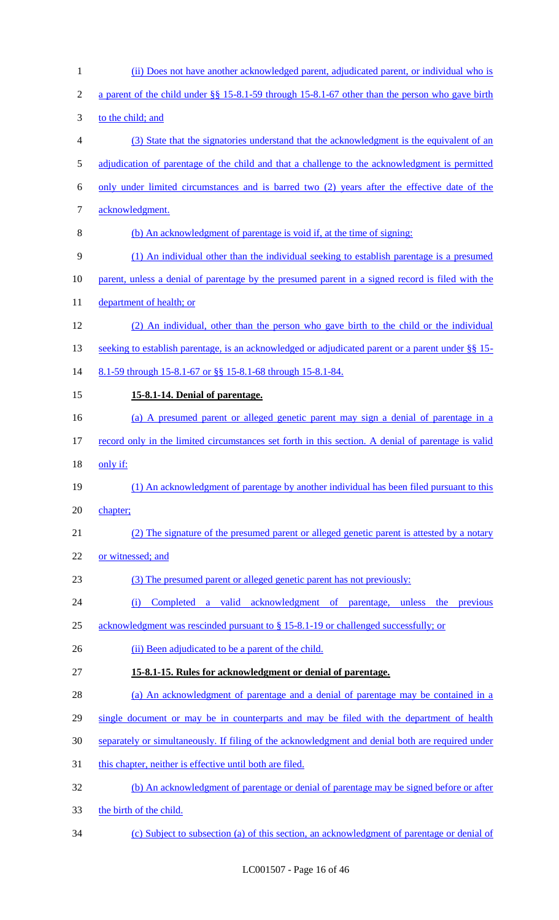| 1              | (ii) Does not have another acknowledged parent, adjudicated parent, or individual who is           |
|----------------|----------------------------------------------------------------------------------------------------|
| $\overline{2}$ | a parent of the child under §§ 15-8.1-59 through 15-8.1-67 other than the person who gave birth    |
| 3              | to the child; and                                                                                  |
| 4              | (3) State that the signatories understand that the acknowledgment is the equivalent of an          |
| 5              | adjudication of parentage of the child and that a challenge to the acknowledgment is permitted     |
| 6              | only under limited circumstances and is barred two (2) years after the effective date of the       |
| 7              | acknowledgment.                                                                                    |
| 8              | (b) An acknowledgment of parentage is void if, at the time of signing:                             |
| 9              | (1) An individual other than the individual seeking to establish parentage is a presumed           |
| 10             | parent, unless a denial of parentage by the presumed parent in a signed record is filed with the   |
| 11             | department of health; or                                                                           |
| 12             | (2) An individual, other than the person who gave birth to the child or the individual             |
| 13             | seeking to establish parentage, is an acknowledged or adjudicated parent or a parent under §§ 15-  |
| 14             | 8.1-59 through 15-8.1-67 or §§ 15-8.1-68 through 15-8.1-84.                                        |
| 15             | 15-8.1-14. Denial of parentage.                                                                    |
| 16             | (a) A presumed parent or alleged genetic parent may sign a denial of parentage in a                |
| 17             | record only in the limited circumstances set forth in this section. A denial of parentage is valid |
| 18             | only if:                                                                                           |
| 19             | (1) An acknowledgment of parentage by another individual has been filed pursuant to this           |
| 20             | chapter;                                                                                           |
| 21             | (2) The signature of the presumed parent or alleged genetic parent is attested by a notary         |
| 22             | or witnessed; and                                                                                  |
| 23             | (3) The presumed parent or alleged genetic parent has not previously:                              |
| 24             | acknowledgment of<br>Completed<br>a valid<br>previous<br>(i)<br>parentage, unless<br>the           |
| 25             | <u>acknowledgment</u> was rescinded pursuant to § 15-8.1-19 or challenged successfully; or         |
| 26             | (ii) Been adjudicated to be a parent of the child.                                                 |
| 27             | 15-8.1-15. Rules for acknowledgment or denial of parentage.                                        |
| 28             | (a) An acknowledgment of parentage and a denial of parentage may be contained in a                 |
| 29             | single document or may be in counterparts and may be filed with the department of health           |
| 30             | separately or simultaneously. If filing of the acknowledgment and denial both are required under   |
| 31             | this chapter, neither is effective until both are filed.                                           |
| 32             | (b) An acknowledgment of parentage or denial of parentage may be signed before or after            |
| 33             | the birth of the child.                                                                            |
|                |                                                                                                    |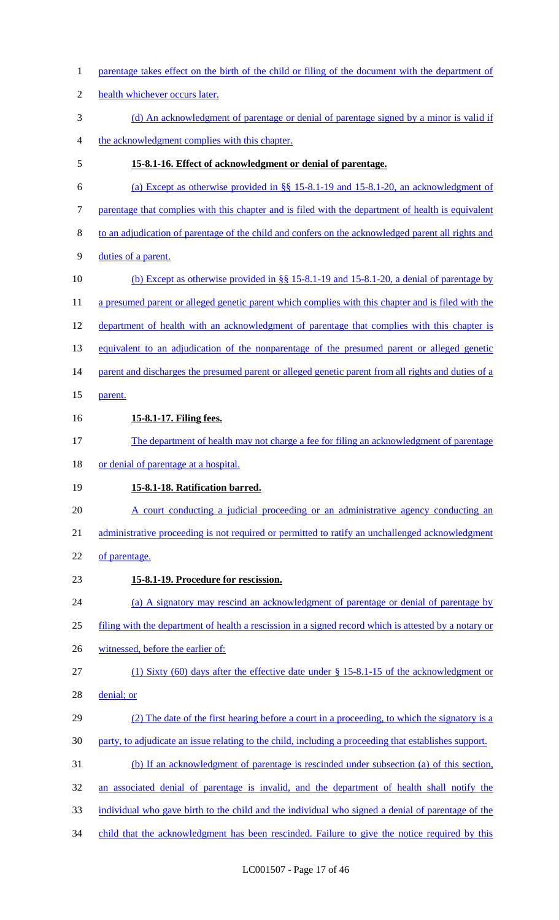parentage takes effect on the birth of the child or filing of the document with the department of health whichever occurs later. (d) An acknowledgment of parentage or denial of parentage signed by a minor is valid if the acknowledgment complies with this chapter. **15-8.1-16. Effect of acknowledgment or denial of parentage.** (a) Except as otherwise provided in §§ 15-8.1-19 and 15-8.1-20, an acknowledgment of 7 parentage that complies with this chapter and is filed with the department of health is equivalent to an adjudication of parentage of the child and confers on the acknowledged parent all rights and duties of a parent. (b) Except as otherwise provided in §§ 15-8.1-19 and 15-8.1-20, a denial of parentage by 11 a presumed parent or alleged genetic parent which complies with this chapter and is filed with the department of health with an acknowledgment of parentage that complies with this chapter is 13 equivalent to an adjudication of the nonparentage of the presumed parent or alleged genetic 14 parent and discharges the presumed parent or alleged genetic parent from all rights and duties of a parent. **15-8.1-17. Filing fees.** The department of health may not charge a fee for filing an acknowledgment of parentage 18 or denial of parentage at a hospital. **15-8.1-18. Ratification barred.** A court conducting a judicial proceeding or an administrative agency conducting an 21 administrative proceeding is not required or permitted to ratify an unchallenged acknowledgment of parentage. **15-8.1-19. Procedure for rescission.** (a) A signatory may rescind an acknowledgment of parentage or denial of parentage by filing with the department of health a rescission in a signed record which is attested by a notary or 26 witnessed, before the earlier of: (1) Sixty (60) days after the effective date under § 15-8.1-15 of the acknowledgment or denial; or (2) The date of the first hearing before a court in a proceeding, to which the signatory is a party, to adjudicate an issue relating to the child, including a proceeding that establishes support. (b) If an acknowledgment of parentage is rescinded under subsection (a) of this section, an associated denial of parentage is invalid, and the department of health shall notify the individual who gave birth to the child and the individual who signed a denial of parentage of the child that the acknowledgment has been rescinded. Failure to give the notice required by this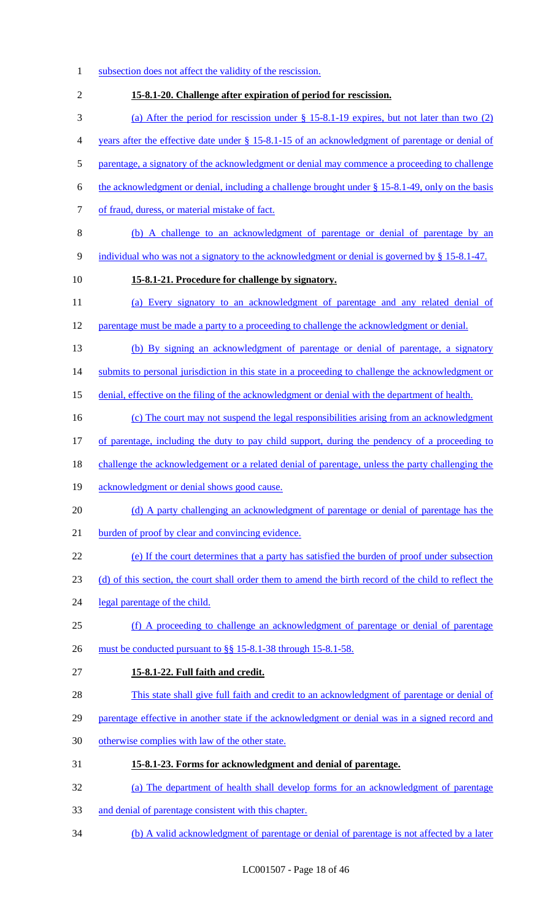| $\mathbf{1}$   | subsection does not affect the validity of the rescission.                                            |
|----------------|-------------------------------------------------------------------------------------------------------|
| $\overline{c}$ | 15-8.1-20. Challenge after expiration of period for rescission.                                       |
| 3              | (a) After the period for rescission under $\S$ 15-8.1-19 expires, but not later than two (2)          |
| $\overline{4}$ | years after the effective date under $\S$ 15-8.1-15 of an acknowledgment of parentage or denial of    |
| 5              | parentage, a signatory of the acknowledgment or denial may commence a proceeding to challenge         |
| 6              | the acknowledgment or denial, including a challenge brought under § 15-8.1-49, only on the basis      |
| $\tau$         | of fraud, duress, or material mistake of fact.                                                        |
| $\,$ 8 $\,$    | (b) A challenge to an acknowledgment of parentage or denial of parentage by an                        |
| 9              | individual who was not a signatory to the acknowledgment or denial is governed by § 15-8.1-47.        |
| 10             | 15-8.1-21. Procedure for challenge by signatory.                                                      |
| 11             | (a) Every signatory to an acknowledgment of parentage and any related denial of                       |
| 12             | parentage must be made a party to a proceeding to challenge the acknowledgment or denial.             |
| 13             | (b) By signing an acknowledgment of parentage or denial of parentage, a signatory                     |
| 14             | submits to personal jurisdiction in this state in a proceeding to challenge the acknowledgment or     |
| 15             | denial, effective on the filing of the acknowledgment or denial with the department of health.        |
| 16             | (c) The court may not suspend the legal responsibilities arising from an acknowledgment               |
| 17             | of parentage, including the duty to pay child support, during the pendency of a proceeding to         |
| 18             | challenge the acknowledgement or a related denial of parentage, unless the party challenging the      |
| 19             | acknowledgment or denial shows good cause.                                                            |
| 20             | (d) A party challenging an acknowledgment of parentage or denial of parentage has the                 |
| 21             | burden of proof by clear and convincing evidence.                                                     |
| 22             | (e) If the court determines that a party has satisfied the burden of proof under subsection           |
| 23             | (d) of this section, the court shall order them to amend the birth record of the child to reflect the |
| 24             | legal parentage of the child.                                                                         |
| 25             | (f) A proceeding to challenge an acknowledgment of parentage or denial of parentage                   |
| 26             | must be conducted pursuant to §§ 15-8.1-38 through 15-8.1-58.                                         |
| 27             | 15-8.1-22. Full faith and credit.                                                                     |
| 28             | This state shall give full faith and credit to an acknowledgment of parentage or denial of            |
| 29             | parentage effective in another state if the acknowledgment or denial was in a signed record and       |
| 30             | otherwise complies with law of the other state.                                                       |
| 31             | 15-8.1-23. Forms for acknowledgment and denial of parentage.                                          |
| 32             | (a) The department of health shall develop forms for an acknowledgment of parentage                   |
| 33             | and denial of parentage consistent with this chapter.                                                 |
| 34             | (b) A valid acknowledgment of parentage or denial of parentage is not affected by a later             |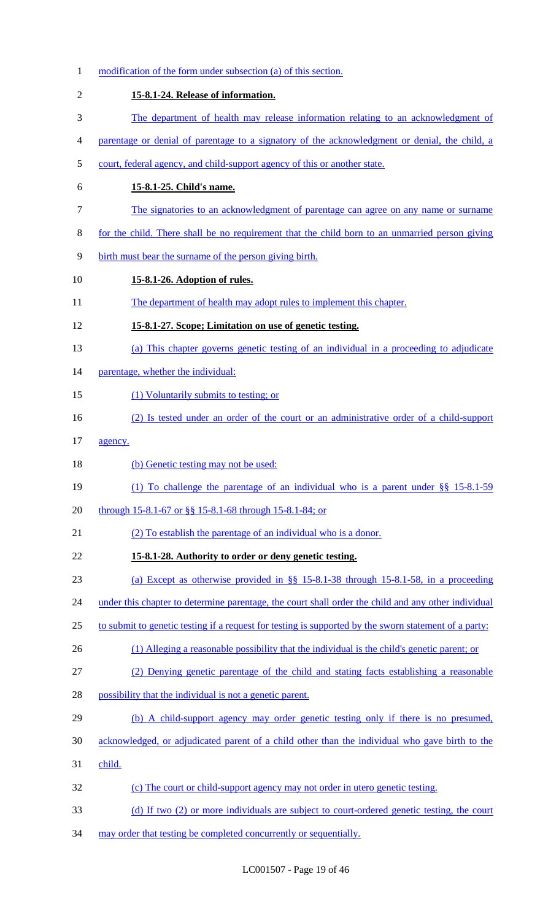| $\mathbf{1}$   | modification of the form under subsection (a) of this section.                                        |
|----------------|-------------------------------------------------------------------------------------------------------|
| $\mathfrak{2}$ | 15-8.1-24. Release of information.                                                                    |
| 3              | The department of health may release information relating to an acknowledgment of                     |
| 4              | parentage or denial of parentage to a signatory of the acknowledgment or denial, the child, a         |
| 5              | court, federal agency, and child-support agency of this or another state.                             |
| 6              | 15-8.1-25. Child's name.                                                                              |
| $\tau$         | The signatories to an acknowledgment of parentage can agree on any name or surname                    |
| 8              | for the child. There shall be no requirement that the child born to an unmarried person giving        |
| 9              | birth must bear the surname of the person giving birth.                                               |
| 10             | 15-8.1-26. Adoption of rules.                                                                         |
| 11             | The department of health may adopt rules to implement this chapter.                                   |
| 12             | 15-8.1-27. Scope; Limitation on use of genetic testing.                                               |
| 13             | (a) This chapter governs genetic testing of an individual in a proceeding to adjudicate               |
| 14             | parentage, whether the individual:                                                                    |
| 15             | (1) Voluntarily submits to testing; or                                                                |
| 16             | (2) Is tested under an order of the court or an administrative order of a child-support               |
| 17             | agency.                                                                                               |
| 18             | (b) Genetic testing may not be used:                                                                  |
| 19             | (1) To challenge the parentage of an individual who is a parent under $\S$ § 15-8.1-59                |
| 20             | through 15-8.1-67 or §§ 15-8.1-68 through 15-8.1-84; or                                               |
| 21             | (2) To establish the parentage of an individual who is a donor.                                       |
| 22             | 15-8.1-28. Authority to order or deny genetic testing.                                                |
| 23             | (a) Except as otherwise provided in $\S$ 15-8.1-38 through 15-8.1-58, in a proceeding                 |
| 24             | under this chapter to determine parentage, the court shall order the child and any other individual   |
| 25             | to submit to genetic testing if a request for testing is supported by the sworn statement of a party: |
| 26             | (1) Alleging a reasonable possibility that the individual is the child's genetic parent; or           |
| 27             | (2) Denying genetic parentage of the child and stating facts establishing a reasonable                |
| 28             | possibility that the individual is not a genetic parent.                                              |
| 29             | (b) A child-support agency may order genetic testing only if there is no presumed,                    |
| 30             | acknowledged, or adjudicated parent of a child other than the individual who gave birth to the        |
| 31             | child.                                                                                                |
| 32             | (c) The court or child-support agency may not order in utero genetic testing.                         |
| 33             | (d) If two (2) or more individuals are subject to court-ordered genetic testing, the court            |
| 34             | may order that testing be completed concurrently or sequentially.                                     |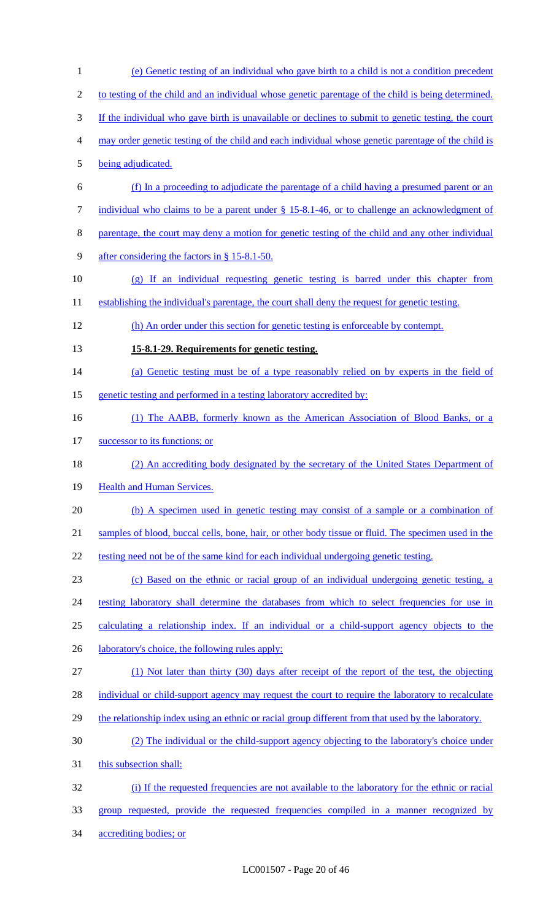(e) Genetic testing of an individual who gave birth to a child is not a condition precedent to testing of the child and an individual whose genetic parentage of the child is being determined. If the individual who gave birth is unavailable or declines to submit to genetic testing, the court may order genetic testing of the child and each individual whose genetic parentage of the child is being adjudicated. (f) In a proceeding to adjudicate the parentage of a child having a presumed parent or an individual who claims to be a parent under § 15-8.1-46, or to challenge an acknowledgment of parentage, the court may deny a motion for genetic testing of the child and any other individual after considering the factors in § 15-8.1-50. (g) If an individual requesting genetic testing is barred under this chapter from 11 establishing the individual's parentage, the court shall deny the request for genetic testing. (h) An order under this section for genetic testing is enforceable by contempt. **15-8.1-29. Requirements for genetic testing.** 14 (a) Genetic testing must be of a type reasonably relied on by experts in the field of 15 genetic testing and performed in a testing laboratory accredited by: 16 (1) The AABB, formerly known as the American Association of Blood Banks, or a 17 successor to its functions; or (2) An accrediting body designated by the secretary of the United States Department of 19 Health and Human Services. (b) A specimen used in genetic testing may consist of a sample or a combination of samples of blood, buccal cells, bone, hair, or other body tissue or fluid. The specimen used in the 22 testing need not be of the same kind for each individual undergoing genetic testing. (c) Based on the ethnic or racial group of an individual undergoing genetic testing, a 24 testing laboratory shall determine the databases from which to select frequencies for use in calculating a relationship index. If an individual or a child-support agency objects to the 26 laboratory's choice, the following rules apply: (1) Not later than thirty (30) days after receipt of the report of the test, the objecting 28 individual or child-support agency may request the court to require the laboratory to recalculate 29 the relationship index using an ethnic or racial group different from that used by the laboratory. (2) The individual or the child-support agency objecting to the laboratory's choice under this subsection shall: (i) If the requested frequencies are not available to the laboratory for the ethnic or racial group requested, provide the requested frequencies compiled in a manner recognized by accrediting bodies; or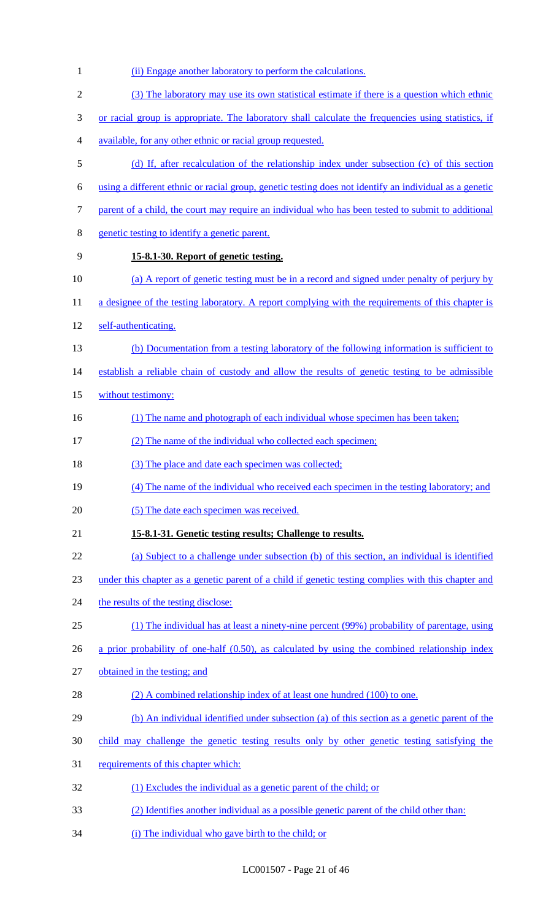(ii) Engage another laboratory to perform the calculations. (3) The laboratory may use its own statistical estimate if there is a question which ethnic or racial group is appropriate. The laboratory shall calculate the frequencies using statistics, if available, for any other ethnic or racial group requested. (d) If, after recalculation of the relationship index under subsection (c) of this section using a different ethnic or racial group, genetic testing does not identify an individual as a genetic 7 parent of a child, the court may require an individual who has been tested to submit to additional genetic testing to identify a genetic parent. **15-8.1-30. Report of genetic testing.** 10 (a) A report of genetic testing must be in a record and signed under penalty of perjury by 11 a designee of the testing laboratory. A report complying with the requirements of this chapter is self-authenticating. 13 (b) Documentation from a testing laboratory of the following information is sufficient to 14 establish a reliable chain of custody and allow the results of genetic testing to be admissible 15 without testimony: 16 (1) The name and photograph of each individual whose specimen has been taken; 17 (2) The name of the individual who collected each specimen; 18 (3) The place and date each specimen was collected; (4) The name of the individual who received each specimen in the testing laboratory; and 20 (5) The date each specimen was received. **15-8.1-31. Genetic testing results; Challenge to results.** (a) Subject to a challenge under subsection (b) of this section, an individual is identified under this chapter as a genetic parent of a child if genetic testing complies with this chapter and 24 the results of the testing disclose: (1) The individual has at least a ninety-nine percent (99%) probability of parentage, using 26 a prior probability of one-half (0.50), as calculated by using the combined relationship index obtained in the testing; and 28 (2) A combined relationship index of at least one hundred (100) to one. (b) An individual identified under subsection (a) of this section as a genetic parent of the child may challenge the genetic testing results only by other genetic testing satisfying the requirements of this chapter which: (1) Excludes the individual as a genetic parent of the child; or (2) Identifies another individual as a possible genetic parent of the child other than: (i) The individual who gave birth to the child; or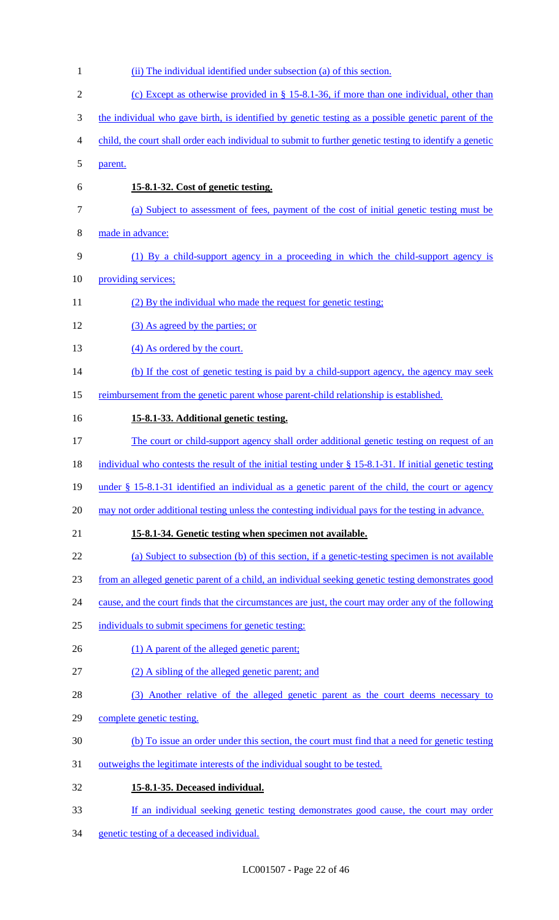(ii) The individual identified under subsection (a) of this section. (c) Except as otherwise provided in § 15-8.1-36, if more than one individual, other than the individual who gave birth, is identified by genetic testing as a possible genetic parent of the 4 child, the court shall order each individual to submit to further genetic testing to identify a genetic parent. **15-8.1-32. Cost of genetic testing.** (a) Subject to assessment of fees, payment of the cost of initial genetic testing must be made in advance: (1) By a child-support agency in a proceeding in which the child-support agency is providing services; 11 (2) By the individual who made the request for genetic testing; (3) As agreed by the parties; or 13 (4) As ordered by the court. 14 (b) If the cost of genetic testing is paid by a child-support agency, the agency may seek 15 reimbursement from the genetic parent whose parent-child relationship is established. **15-8.1-33. Additional genetic testing.** 17 The court or child-support agency shall order additional genetic testing on request of an 18 individual who contests the result of the initial testing under § 15-8.1-31. If initial genetic testing under § 15-8.1-31 identified an individual as a genetic parent of the child, the court or agency may not order additional testing unless the contesting individual pays for the testing in advance. **15-8.1-34. Genetic testing when specimen not available.** (a) Subject to subsection (b) of this section, if a genetic-testing specimen is not available from an alleged genetic parent of a child, an individual seeking genetic testing demonstrates good 24 cause, and the court finds that the circumstances are just, the court may order any of the following individuals to submit specimens for genetic testing: 26 (1) A parent of the alleged genetic parent; (2) A sibling of the alleged genetic parent; and (3) Another relative of the alleged genetic parent as the court deems necessary to complete genetic testing. (b) To issue an order under this section, the court must find that a need for genetic testing outweighs the legitimate interests of the individual sought to be tested. **15-8.1-35. Deceased individual.** If an individual seeking genetic testing demonstrates good cause, the court may order genetic testing of a deceased individual.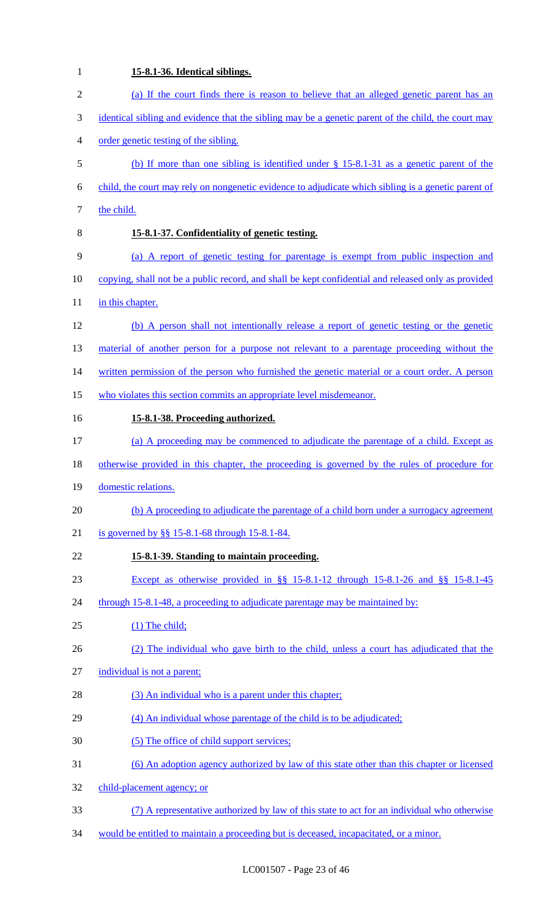| $\mathbf{1}$   | 15-8.1-36. Identical siblings.                                                                      |
|----------------|-----------------------------------------------------------------------------------------------------|
| $\mathfrak{2}$ | (a) If the court finds there is reason to believe that an alleged genetic parent has an             |
| 3              | identical sibling and evidence that the sibling may be a genetic parent of the child, the court may |
| $\overline{4}$ | order genetic testing of the sibling.                                                               |
| 5              | (b) If more than one sibling is identified under $\S$ 15-8.1-31 as a genetic parent of the          |
| 6              | child, the court may rely on nongenetic evidence to adjudicate which sibling is a genetic parent of |
| $\tau$         | the child.                                                                                          |
| 8              | 15-8.1-37. Confidentiality of genetic testing.                                                      |
| 9              | (a) A report of genetic testing for parentage is exempt from public inspection and                  |
| 10             | copying, shall not be a public record, and shall be kept confidential and released only as provided |
| 11             | in this chapter.                                                                                    |
| 12             | (b) A person shall not intentionally release a report of genetic testing or the genetic             |
| 13             | material of another person for a purpose not relevant to a parentage proceeding without the         |
| 14             | written permission of the person who furnished the genetic material or a court order. A person      |
| 15             | who violates this section commits an appropriate level misdemeanor.                                 |
| 16             | 15-8.1-38. Proceeding authorized.                                                                   |
| 17             | (a) A proceeding may be commenced to adjudicate the parentage of a child. Except as                 |
| 18             | otherwise provided in this chapter, the proceeding is governed by the rules of procedure for        |
| 19             | domestic relations.                                                                                 |
| 20             | (b) A proceeding to adjudicate the parentage of a child born under a surrogacy agreement            |
| 21             | is governed by §§ 15-8.1-68 through 15-8.1-84.                                                      |
| 22             | 15-8.1-39. Standing to maintain proceeding.                                                         |
| 23             | Except as otherwise provided in §§ 15-8.1-12 through 15-8.1-26 and §§ 15-8.1-45                     |
| 24             | through 15-8.1-48, a proceeding to adjudicate parentage may be maintained by:                       |
| 25             | $(1)$ The child;                                                                                    |
| 26             | (2) The individual who gave birth to the child, unless a court has adjudicated that the             |
| 27             | individual is not a parent;                                                                         |
| 28             | (3) An individual who is a parent under this chapter;                                               |
| 29             | (4) An individual whose parentage of the child is to be adjudicated;                                |
| 30             | (5) The office of child support services;                                                           |
| 31             | (6) An adoption agency authorized by law of this state other than this chapter or licensed          |
| 32             | child-placement agency; or                                                                          |
| 33             | (7) A representative authorized by law of this state to act for an individual who otherwise         |
| 34             | would be entitled to maintain a proceeding but is deceased, incapacitated, or a minor.              |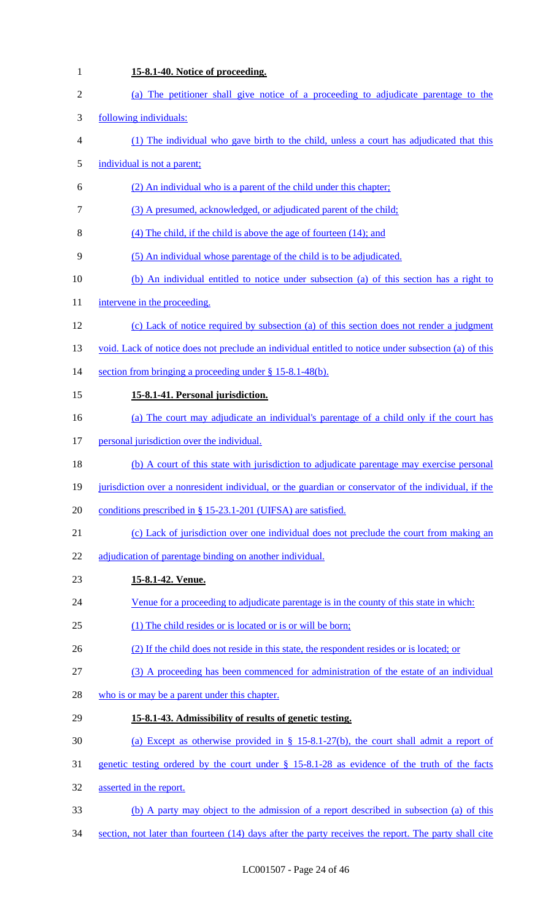| $\mathbf{1}$   | 15-8.1-40. Notice of proceeding.                                                                                  |
|----------------|-------------------------------------------------------------------------------------------------------------------|
| $\overline{2}$ | (a) The petitioner shall give notice of a proceeding to adjudicate parentage to the                               |
| 3              | following individuals:                                                                                            |
| 4              | (1) The individual who gave birth to the child, unless a court has adjudicated that this                          |
| 5              | individual is not a parent;                                                                                       |
| 6              | (2) An individual who is a parent of the child under this chapter;                                                |
| 7              | (3) A presumed, acknowledged, or adjudicated parent of the child;                                                 |
| 8              | (4) The child, if the child is above the age of fourteen (14); and                                                |
| 9              | (5) An individual whose parentage of the child is to be adjudicated.                                              |
| 10             | (b) An individual entitled to notice under subsection (a) of this section has a right to                          |
| 11             | intervene in the proceeding.                                                                                      |
| 12             | (c) Lack of notice required by subsection (a) of this section does not render a judgment                          |
| 13             | void. Lack of notice does not preclude an individual entitled to notice under subsection (a) of this              |
| 14             | section from bringing a proceeding under $\S$ 15-8.1-48(b).                                                       |
| 15             | 15-8.1-41. Personal jurisdiction.                                                                                 |
| 16             | (a) The court may adjudicate an individual's parentage of a child only if the court has                           |
| 17             | personal jurisdiction over the individual.                                                                        |
| 18             | (b) A court of this state with jurisdiction to adjudicate parentage may exercise personal                         |
| 19             | jurisdiction over a nonresident individual, or the guardian or conservator of the individual, if the              |
| 20             | conditions prescribed in § 15-23.1-201 (UIFSA) are satisfied.                                                     |
| 21             | (c) Lack of jurisdiction over one individual does not preclude the court from making an                           |
| 22             | adjudication of parentage binding on another individual.                                                          |
| 23             | 15-8.1-42. Venue.                                                                                                 |
| 24             | Venue for a proceeding to adjudicate parentage is in the county of this state in which:                           |
| 25             | (1) The child resides or is located or is or will be born;                                                        |
| 26             | (2) If the child does not reside in this state, the respondent resides or is located; or                          |
| 27             | (3) A proceeding has been commenced for administration of the estate of an individual                             |
| 28             | who is or may be a parent under this chapter.                                                                     |
| 29             | 15-8.1-43. Admissibility of results of genetic testing.                                                           |
| 30             | (a) Except as otherwise provided in § 15-8.1-27(b), the court shall admit a report of                             |
| 31             | <u>genetic testing ordered by the court under <math>\S</math> 15-8.1-28 as evidence of the truth of the facts</u> |
| 32             | asserted in the report.                                                                                           |
| 33             | (b) A party may object to the admission of a report described in subsection (a) of this                           |
| 34             | section, not later than fourteen (14) days after the party receives the report. The party shall cite              |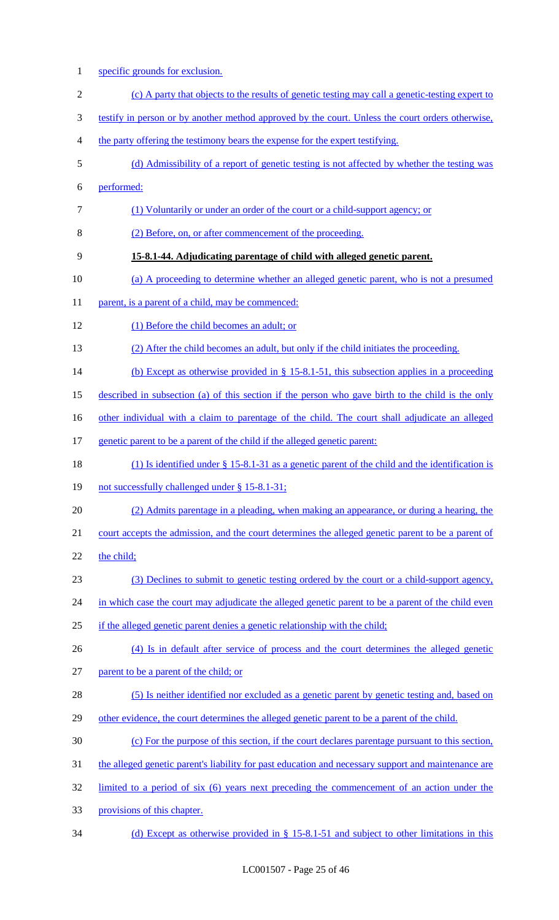1 specific grounds for exclusion.

| $\mathbf{2}$ | (c) A party that objects to the results of genetic testing may call a genetic-testing expert to     |
|--------------|-----------------------------------------------------------------------------------------------------|
| 3            | testify in person or by another method approved by the court. Unless the court orders otherwise,    |
| 4            | the party offering the testimony bears the expense for the expert testifying.                       |
| 5            | (d) Admissibility of a report of genetic testing is not affected by whether the testing was         |
| 6            | performed:                                                                                          |
| 7            | (1) Voluntarily or under an order of the court or a child-support agency; or                        |
| 8            | (2) Before, on, or after commencement of the proceeding.                                            |
| 9            | 15-8.1-44. Adjudicating parentage of child with alleged genetic parent.                             |
| 10           | (a) A proceeding to determine whether an alleged genetic parent, who is not a presumed              |
| 11           | parent, is a parent of a child, may be commenced:                                                   |
| 12           | (1) Before the child becomes an adult; or                                                           |
| 13           | (2) After the child becomes an adult, but only if the child initiates the proceeding.               |
| 14           | (b) Except as otherwise provided in $\S$ 15-8.1-51, this subsection applies in a proceeding         |
| 15           | described in subsection (a) of this section if the person who gave birth to the child is the only   |
| 16           | other individual with a claim to parentage of the child. The court shall adjudicate an alleged      |
| 17           | genetic parent to be a parent of the child if the alleged genetic parent:                           |
| 18           | (1) Is identified under $\S 15-8.1-31$ as a genetic parent of the child and the identification is   |
| 19           | not successfully challenged under § 15-8.1-31;                                                      |
| 20           | (2) Admits parentage in a pleading, when making an appearance, or during a hearing, the             |
| 21           | court accepts the admission, and the court determines the alleged genetic parent to be a parent of  |
| 22           | the child;                                                                                          |
| 23           | (3) Declines to submit to genetic testing ordered by the court or a child-support agency,           |
| 24           | in which case the court may adjudicate the alleged genetic parent to be a parent of the child even  |
| 25           | if the alleged genetic parent denies a genetic relationship with the child;                         |
| 26           | (4) Is in default after service of process and the court determines the alleged genetic             |
| 27           | parent to be a parent of the child; or                                                              |
| 28           | (5) Is neither identified nor excluded as a genetic parent by genetic testing and, based on         |
| 29           | other evidence, the court determines the alleged genetic parent to be a parent of the child.        |
| 30           | (c) For the purpose of this section, if the court declares parentage pursuant to this section,      |
| 31           | the alleged genetic parent's liability for past education and necessary support and maintenance are |
| 32           | limited to a period of six (6) years next preceding the commencement of an action under the         |
| 33           | provisions of this chapter.                                                                         |

34 (d) Except as otherwise provided in § 15-8.1-51 and subject to other limitations in this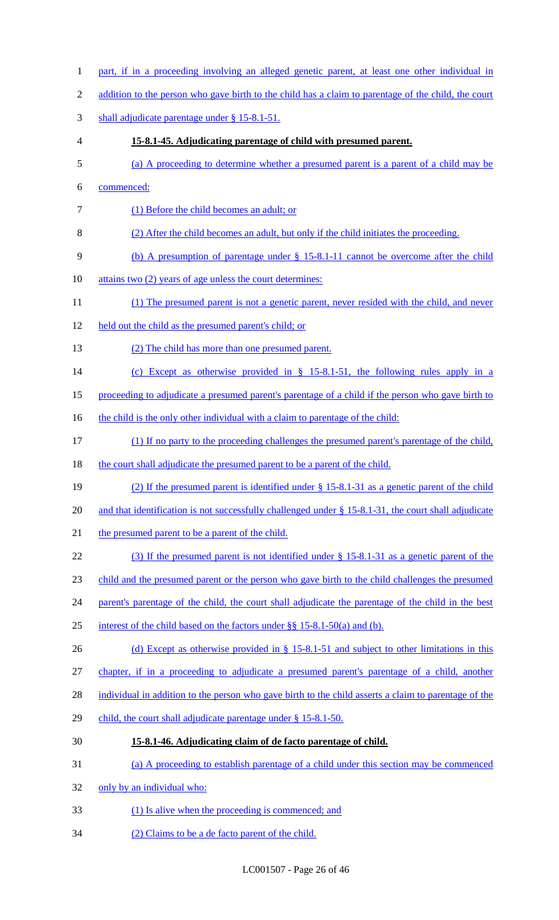- part, if in a proceeding involving an alleged genetic parent, at least one other individual in
- 2 addition to the person who gave birth to the child has a claim to parentage of the child, the court
- shall adjudicate parentage under § 15-8.1-51.
- **15-8.1-45. Adjudicating parentage of child with presumed parent.**
- (a) A proceeding to determine whether a presumed parent is a parent of a child may be
- commenced:
- (1) Before the child becomes an adult; or
- (2) After the child becomes an adult, but only if the child initiates the proceeding.
- (b) A presumption of parentage under § 15-8.1-11 cannot be overcome after the child
- attains two (2) years of age unless the court determines:
- (1) The presumed parent is not a genetic parent, never resided with the child, and never
- held out the child as the presumed parent's child; or
- 13 (2) The child has more than one presumed parent.
- (c) Except as otherwise provided in § 15-8.1-51, the following rules apply in a
- proceeding to adjudicate a presumed parent's parentage of a child if the person who gave birth to
- 16 the child is the only other individual with a claim to parentage of the child:
- (1) If no party to the proceeding challenges the presumed parent's parentage of the child,
- 18 the court shall adjudicate the presumed parent to be a parent of the child.
- (2) If the presumed parent is identified under § 15-8.1-31 as a genetic parent of the child 20 and that identification is not successfully challenged under § 15-8.1-31, the court shall adjudicate 21 the presumed parent to be a parent of the child.
- (3) If the presumed parent is not identified under § 15-8.1-31 as a genetic parent of the
- child and the presumed parent or the person who gave birth to the child challenges the presumed
- 24 parent's parentage of the child, the court shall adjudicate the parentage of the child in the best
- 25 interest of the child based on the factors under  $\S$ § 15-8.1-50(a) and (b).
- 26 (d) Except as otherwise provided in § 15-8.1-51 and subject to other limitations in this
- chapter, if in a proceeding to adjudicate a presumed parent's parentage of a child, another
- 28 individual in addition to the person who gave birth to the child asserts a claim to parentage of the
- child, the court shall adjudicate parentage under § 15-8.1-50.
- 

# **15-8.1-46. Adjudicating claim of de facto parentage of child.**

- (a) A proceeding to establish parentage of a child under this section may be commenced
- only by an individual who:
- (1) Is alive when the proceeding is commenced; and
- (2) Claims to be a de facto parent of the child.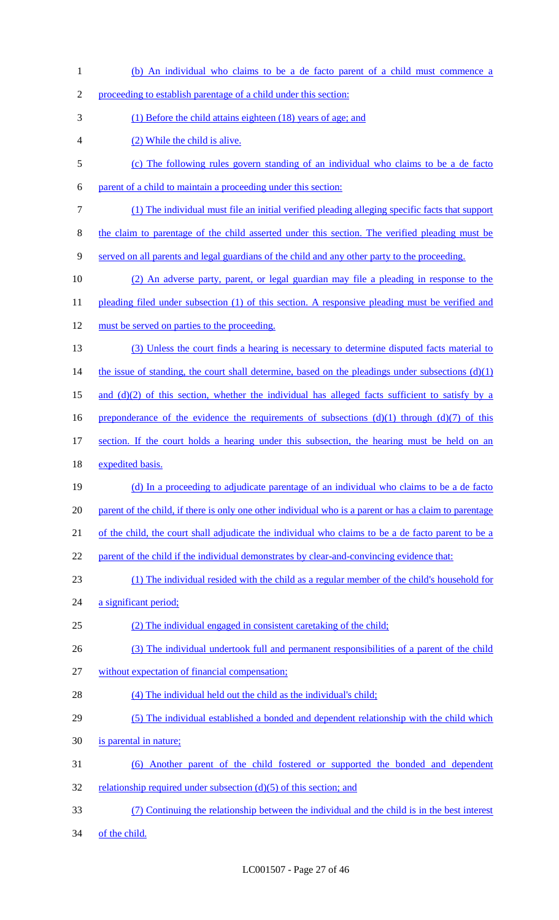| $\mathbf{1}$   | (b) An individual who claims to be a de facto parent of a child must commence a                        |
|----------------|--------------------------------------------------------------------------------------------------------|
| $\mathfrak{2}$ | proceeding to establish parentage of a child under this section:                                       |
| 3              | (1) Before the child attains eighteen (18) years of age; and                                           |
| 4              | (2) While the child is alive.                                                                          |
| 5              | (c) The following rules govern standing of an individual who claims to be a de facto                   |
| 6              | parent of a child to maintain a proceeding under this section:                                         |
| 7              | (1) The individual must file an initial verified pleading alleging specific facts that support         |
| $8\,$          | the claim to parentage of the child asserted under this section. The verified pleading must be         |
| 9              | served on all parents and legal guardians of the child and any other party to the proceeding.          |
| 10             | (2) An adverse party, parent, or legal guardian may file a pleading in response to the                 |
| 11             | pleading filed under subsection (1) of this section. A responsive pleading must be verified and        |
| 12             | must be served on parties to the proceeding.                                                           |
| 13             | (3) Unless the court finds a hearing is necessary to determine disputed facts material to              |
| 14             | the issue of standing, the court shall determine, based on the pleadings under subsections $(d)(1)$    |
| 15             | and $(d)(2)$ of this section, whether the individual has alleged facts sufficient to satisfy by a      |
| 16             | preponderance of the evidence the requirements of subsections $(d)(1)$ through $(d)(7)$ of this        |
| 17             | section. If the court holds a hearing under this subsection, the hearing must be held on an            |
|                |                                                                                                        |
| 18             | expedited basis.                                                                                       |
| 19             | (d) In a proceeding to adjudicate parentage of an individual who claims to be a de facto               |
| 20             | parent of the child, if there is only one other individual who is a parent or has a claim to parentage |
| 21             | of the child, the court shall adjudicate the individual who claims to be a de facto parent to be a     |
| 22             | parent of the child if the individual demonstrates by clear-and-convincing evidence that:              |
| 23             | (1) The individual resided with the child as a regular member of the child's household for             |
| 24             | a significant period;                                                                                  |
| 25             | (2) The individual engaged in consistent caretaking of the child;                                      |
| 26             | (3) The individual undertook full and permanent responsibilities of a parent of the child              |
| 27             | without expectation of financial compensation;                                                         |
| 28             | (4) The individual held out the child as the individual's child;                                       |
| 29             | (5) The individual established a bonded and dependent relationship with the child which                |
| 30             | is parental in nature;                                                                                 |
| 31             | (6) Another parent of the child fostered or supported the bonded and dependent                         |
| 32             | relationship required under subsection $(d)(5)$ of this section; and                                   |
| 33             | (7) Continuing the relationship between the individual and the child is in the best interest           |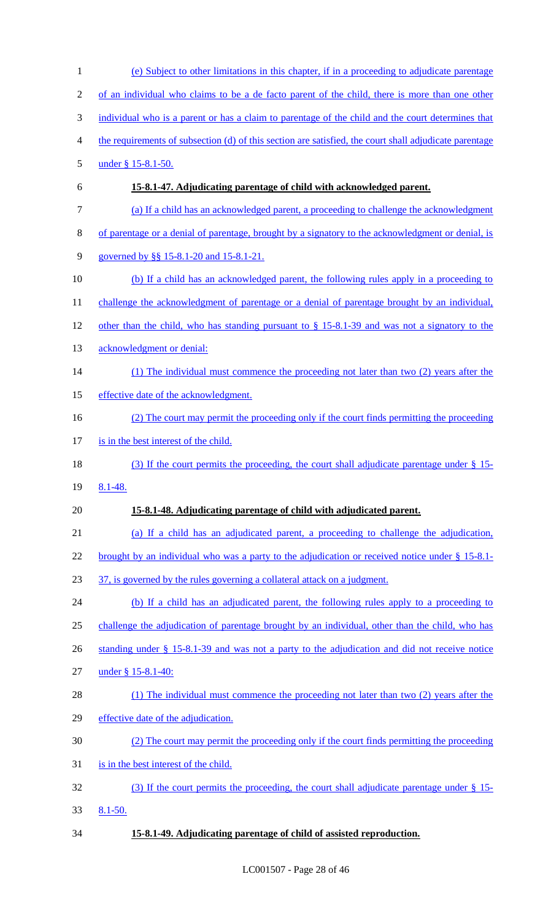| (e) Subject to other limitations in this chapter, if in a proceeding to adjudicate parentage           |
|--------------------------------------------------------------------------------------------------------|
| of an individual who claims to be a de facto parent of the child, there is more than one other         |
| individual who is a parent or has a claim to parentage of the child and the court determines that      |
| the requirements of subsection (d) of this section are satisfied, the court shall adjudicate parentage |
| under § 15-8.1-50.                                                                                     |
| 15-8.1-47. Adjudicating parentage of child with acknowledged parent.                                   |
| (a) If a child has an acknowledged parent, a proceeding to challenge the acknowledgment                |
| of parentage or a denial of parentage, brought by a signatory to the acknowledgment or denial, is      |
| governed by §§ 15-8.1-20 and 15-8.1-21.                                                                |
| (b) If a child has an acknowledged parent, the following rules apply in a proceeding to                |
| challenge the acknowledgment of parentage or a denial of parentage brought by an individual,           |
| other than the child, who has standing pursuant to $\S$ 15-8.1-39 and was not a signatory to the       |
| acknowledgment or denial:                                                                              |
| (1) The individual must commence the proceeding not later than two (2) years after the                 |
| effective date of the acknowledgment.                                                                  |
| (2) The court may permit the proceeding only if the court finds permitting the proceeding              |
| is in the best interest of the child.                                                                  |
| (3) If the court permits the proceeding, the court shall adjudicate parentage under $\S$ 15-           |
| 8.1-48.                                                                                                |
| 15-8.1-48. Adjudicating parentage of child with adjudicated parent.                                    |
|                                                                                                        |
| (a) If a child has an adjudicated parent, a proceeding to challenge the adjudication,                  |
| brought by an individual who was a party to the adjudication or received notice under $\S$ 15-8.1-     |
| 37, is governed by the rules governing a collateral attack on a judgment.                              |
| (b) If a child has an adjudicated parent, the following rules apply to a proceeding to                 |
| challenge the adjudication of parentage brought by an individual, other than the child, who has        |
| standing under $\S$ 15-8.1-39 and was not a party to the adjudication and did not receive notice       |
| under § 15-8.1-40:                                                                                     |
| (1) The individual must commence the proceeding not later than two (2) years after the                 |
| effective date of the adjudication.                                                                    |
| (2) The court may permit the proceeding only if the court finds permitting the proceeding              |
| is in the best interest of the child.                                                                  |
| (3) If the court permits the proceeding, the court shall adjudicate parentage under $\S$ 15-           |
|                                                                                                        |

**15-8.1-49. Adjudicating parentage of child of assisted reproduction.**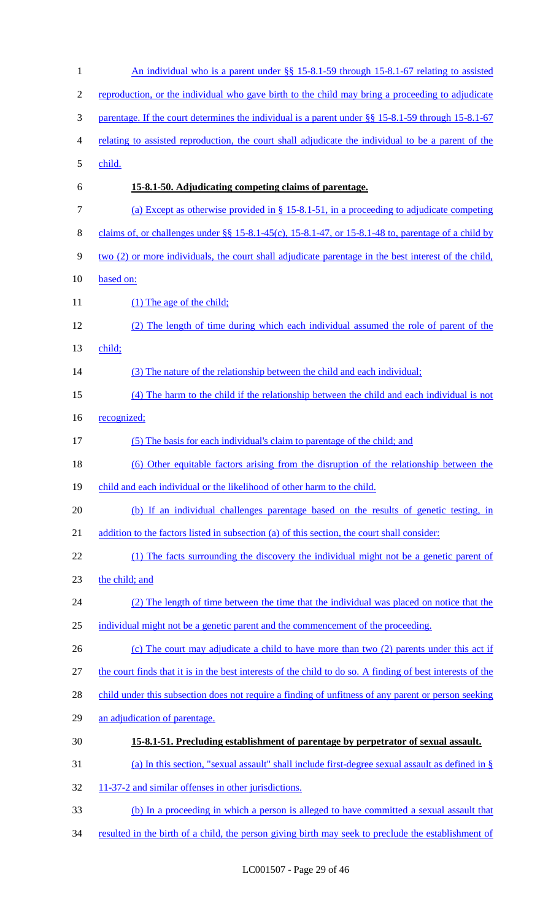| $\mathbf{1}$             | <u>An individual who is a parent under §§ 15-8.1-59 through 15-8.1-67 relating to assisted</u>             |
|--------------------------|------------------------------------------------------------------------------------------------------------|
| $\overline{2}$           | reproduction, or the individual who gave birth to the child may bring a proceeding to adjudicate           |
| 3                        | parentage. If the court determines the individual is a parent under §§ 15-8.1-59 through 15-8.1-67         |
| $\overline{\mathcal{A}}$ | relating to assisted reproduction, the court shall adjudicate the individual to be a parent of the         |
| 5                        | child.                                                                                                     |
| 6                        | 15-8.1-50. Adjudicating competing claims of parentage.                                                     |
| $\tau$                   | (a) Except as otherwise provided in § 15-8.1-51, in a proceeding to adjudicate competing                   |
| $8\,$                    | claims of, or challenges under §§ 15-8.1-45(c), 15-8.1-47, or 15-8.1-48 to, parentage of a child by        |
| $\mathbf{9}$             | two (2) or more individuals, the court shall adjudicate parentage in the best interest of the child,       |
| 10                       | based on:                                                                                                  |
| 11                       | $(1)$ The age of the child;                                                                                |
| 12                       | (2) The length of time during which each individual assumed the role of parent of the                      |
| 13                       | child;                                                                                                     |
| 14                       | (3) The nature of the relationship between the child and each individual;                                  |
| 15                       | (4) The harm to the child if the relationship between the child and each individual is not                 |
| 16                       | recognized;                                                                                                |
| 17                       | (5) The basis for each individual's claim to parentage of the child; and                                   |
| 18                       | (6) Other equitable factors arising from the disruption of the relationship between the                    |
| 19                       | child and each individual or the likelihood of other harm to the child.                                    |
| 20                       | (b) If an individual challenges parentage based on the results of genetic testing, in                      |
| 21                       | addition to the factors listed in subsection (a) of this section, the court shall consider:                |
| 22                       | (1) The facts surrounding the discovery the individual might not be a genetic parent of                    |
| 23                       | the child; and                                                                                             |
| 24                       | (2) The length of time between the time that the individual was placed on notice that the                  |
| 25                       | individual might not be a genetic parent and the commencement of the proceeding.                           |
| 26                       | (c) The court may adjudicate a child to have more than two (2) parents under this act if                   |
| 27                       | the court finds that it is in the best interests of the child to do so. A finding of best interests of the |
| 28                       | child under this subsection does not require a finding of unfitness of any parent or person seeking        |
| 29                       | an adjudication of parentage.                                                                              |
| 30                       | 15-8.1-51. Precluding establishment of parentage by perpetrator of sexual assault.                         |
| 31                       | (a) In this section, "sexual assault" shall include first-degree sexual assault as defined in $\S$         |
| 32                       | 11-37-2 and similar offenses in other jurisdictions.                                                       |
| 33                       | (b) In a proceeding in which a person is alleged to have committed a sexual assault that                   |
| 34                       | resulted in the birth of a child, the person giving birth may seek to preclude the establishment of        |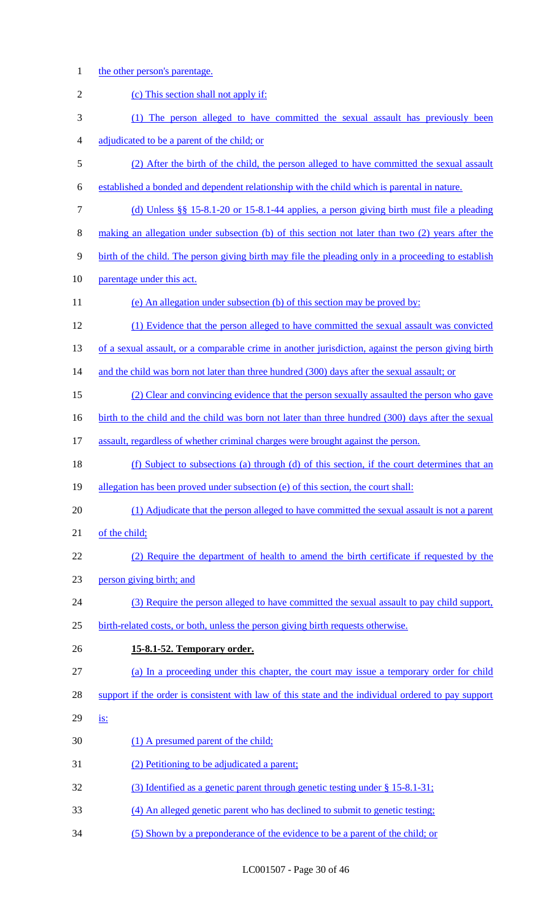| $\mathbf{1}$   | the other person's parentage.                                                                       |
|----------------|-----------------------------------------------------------------------------------------------------|
| $\mathfrak{2}$ | (c) This section shall not apply if:                                                                |
| 3              | (1) The person alleged to have committed the sexual assault has previously been                     |
| 4              | adjudicated to be a parent of the child; or                                                         |
| $\mathfrak s$  | (2) After the birth of the child, the person alleged to have committed the sexual assault           |
| 6              | established a bonded and dependent relationship with the child which is parental in nature.         |
| $\tau$         | (d) Unless $\S$ $\S$ 15-8.1-20 or 15-8.1-44 applies, a person giving birth must file a pleading     |
| $8\,$          | making an allegation under subsection (b) of this section not later than two (2) years after the    |
| 9              | birth of the child. The person giving birth may file the pleading only in a proceeding to establish |
| 10             | parentage under this act.                                                                           |
| 11             | (e) An allegation under subsection (b) of this section may be proved by:                            |
| 12             | (1) Evidence that the person alleged to have committed the sexual assault was convicted             |
| 13             | of a sexual assault, or a comparable crime in another jurisdiction, against the person giving birth |
| 14             | and the child was born not later than three hundred (300) days after the sexual assault; or         |
| 15             | (2) Clear and convincing evidence that the person sexually assaulted the person who gave            |
| 16             | birth to the child and the child was born not later than three hundred (300) days after the sexual  |
| 17             | assault, regardless of whether criminal charges were brought against the person.                    |
| 18             | (f) Subject to subsections (a) through (d) of this section, if the court determines that an         |
| 19             | allegation has been proved under subsection (e) of this section, the court shall:                   |
| 20             | (1) Adjudicate that the person alleged to have committed the sexual assault is not a parent         |
| 21             | of the child;                                                                                       |
| 22             | (2) Require the department of health to amend the birth certificate if requested by the             |
| 23             | person giving birth; and                                                                            |
| 24             | (3) Require the person alleged to have committed the sexual assault to pay child support,           |
| 25             | birth-related costs, or both, unless the person giving birth requests otherwise.                    |
| 26             | 15-8.1-52. Temporary order.                                                                         |
| 27             | (a) In a proceeding under this chapter, the court may issue a temporary order for child             |
| 28             | support if the order is consistent with law of this state and the individual ordered to pay support |
| 29             | <u>is:</u>                                                                                          |
| 30             | (1) A presumed parent of the child;                                                                 |
| 31             | (2) Petitioning to be adjudicated a parent;                                                         |
| 32             | (3) Identified as a genetic parent through genetic testing under § 15-8.1-31;                       |
| 33             | (4) An alleged genetic parent who has declined to submit to genetic testing;                        |
| 34             | (5) Shown by a preponderance of the evidence to be a parent of the child; or                        |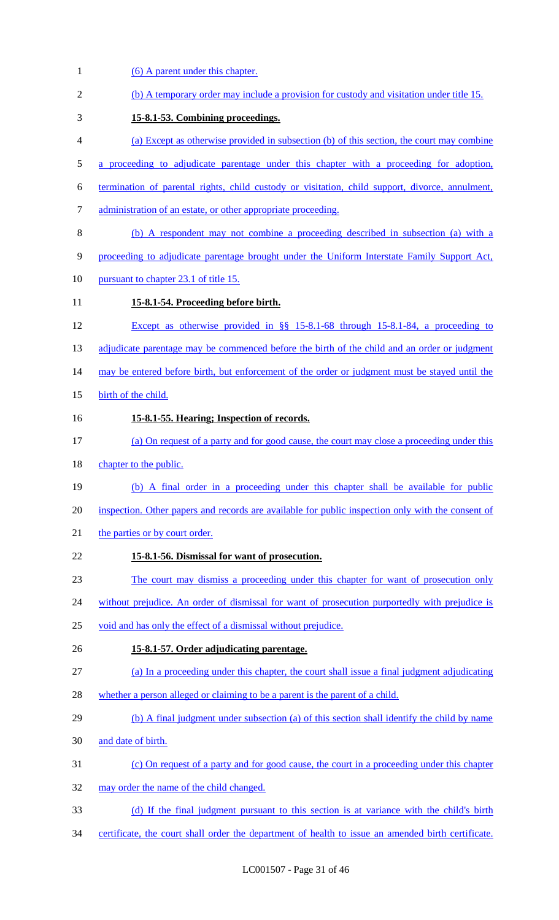- (6) A parent under this chapter. (b) A temporary order may include a provision for custody and visitation under title 15. **15-8.1-53. Combining proceedings.** (a) Except as otherwise provided in subsection (b) of this section, the court may combine a proceeding to adjudicate parentage under this chapter with a proceeding for adoption, termination of parental rights, child custody or visitation, child support, divorce, annulment, administration of an estate, or other appropriate proceeding. (b) A respondent may not combine a proceeding described in subsection (a) with a proceeding to adjudicate parentage brought under the Uniform Interstate Family Support Act, 10 pursuant to chapter 23.1 of title 15. **15-8.1-54. Proceeding before birth.** Except as otherwise provided in §§ 15-8.1-68 through 15-8.1-84, a proceeding to 13 adjudicate parentage may be commenced before the birth of the child and an order or judgment 14 may be entered before birth, but enforcement of the order or judgment must be stayed until the 15 birth of the child. **15-8.1-55. Hearing; Inspection of records.** (a) On request of a party and for good cause, the court may close a proceeding under this 18 chapter to the public. (b) A final order in a proceeding under this chapter shall be available for public inspection. Other papers and records are available for public inspection only with the consent of 21 the parties or by court order. **15-8.1-56. Dismissal for want of prosecution.** The court may dismiss a proceeding under this chapter for want of prosecution only 24 without prejudice. An order of dismissal for want of prosecution purportedly with prejudice is void and has only the effect of a dismissal without prejudice. **15-8.1-57. Order adjudicating parentage.** (a) In a proceeding under this chapter, the court shall issue a final judgment adjudicating whether a person alleged or claiming to be a parent is the parent of a child. (b) A final judgment under subsection (a) of this section shall identify the child by name and date of birth. (c) On request of a party and for good cause, the court in a proceeding under this chapter may order the name of the child changed. (d) If the final judgment pursuant to this section is at variance with the child's birth
- certificate, the court shall order the department of health to issue an amended birth certificate.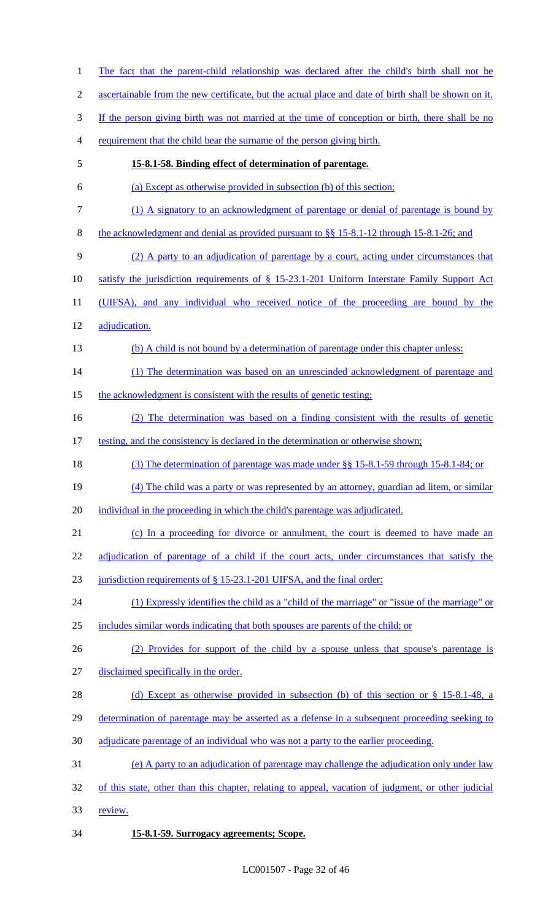| $\mathbf{1}$   | The fact that the parent-child relationship was declared after the child's birth shall not be        |
|----------------|------------------------------------------------------------------------------------------------------|
| $\overline{2}$ | ascertainable from the new certificate, but the actual place and date of birth shall be shown on it. |
| $\mathfrak{Z}$ | If the person giving birth was not married at the time of conception or birth, there shall be no     |
| $\overline{4}$ | requirement that the child bear the surname of the person giving birth.                              |
| $\mathfrak{S}$ | 15-8.1-58. Binding effect of determination of parentage.                                             |
| 6              | (a) Except as otherwise provided in subsection (b) of this section:                                  |
| $\tau$         | (1) A signatory to an acknowledgment of parentage or denial of parentage is bound by                 |
| $8\,$          | the acknowledgment and denial as provided pursuant to $\S$ $\S$ 15-8.1-12 through 15-8.1-26; and     |
| 9              | (2) A party to an adjudication of parentage by a court, acting under circumstances that              |
| 10             | satisfy the jurisdiction requirements of § 15-23.1-201 Uniform Interstate Family Support Act         |
| 11             | (UIFSA), and any individual who received notice of the proceeding are bound by the                   |
| 12             | adjudication.                                                                                        |
| 13             | (b) A child is not bound by a determination of parentage under this chapter unless:                  |
| 14             | (1) The determination was based on an unrescinded acknowledgment of parentage and                    |
| 15             | the acknowledgment is consistent with the results of genetic testing;                                |
| 16             | (2) The determination was based on a finding consistent with the results of genetic                  |
| 17             | testing, and the consistency is declared in the determination or otherwise shown;                    |
| 18             | (3) The determination of parentage was made under §§ 15-8.1-59 through 15-8.1-84; or                 |
| 19             | (4) The child was a party or was represented by an attorney, guardian ad litem, or similar           |
| 20             | individual in the proceeding in which the child's parentage was adjudicated.                         |
| 21             | (c) In a proceeding for divorce or annulment, the court is deemed to have made an                    |
| 22             | adjudication of parentage of a child if the court acts, under circumstances that satisfy the         |
| 23             | jurisdiction requirements of § 15-23.1-201 UIFSA, and the final order:                               |
| 24             | (1) Expressly identifies the child as a "child of the marriage" or "issue of the marriage" or        |
| 25             | includes similar words indicating that both spouses are parents of the child; or                     |
| 26             | (2) Provides for support of the child by a spouse unless that spouse's parentage is                  |
| 27             | disclaimed specifically in the order.                                                                |
| 28             | (d) Except as otherwise provided in subsection (b) of this section or $\S$ 15-8.1-48, a              |
| 29             | determination of parentage may be asserted as a defense in a subsequent proceeding seeking to        |
| 30             | adjudicate parentage of an individual who was not a party to the earlier proceeding.                 |
| 31             | (e) A party to an adjudication of parentage may challenge the adjudication only under law            |
| 32             | of this state, other than this chapter, relating to appeal, vacation of judgment, or other judicial  |
| 33             | review.                                                                                              |
| 34             | 15-8.1-59. Surrogacy agreements; Scope.                                                              |

LC001507 - Page 32 of 46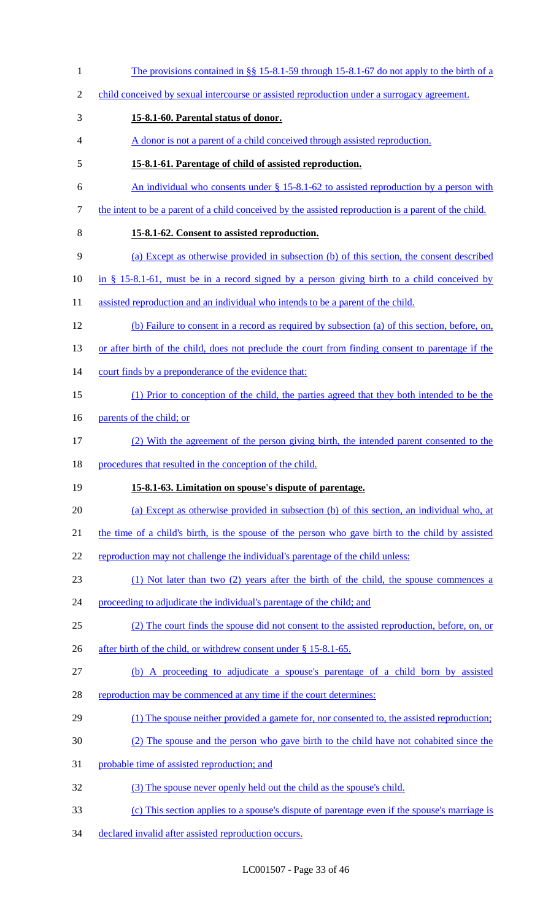The provisions contained in §§ 15-8.1-59 through 15-8.1-67 do not apply to the birth of a 2 child conceived by sexual intercourse or assisted reproduction under a surrogacy agreement. **15-8.1-60. Parental status of donor.** A donor is not a parent of a child conceived through assisted reproduction. **15-8.1-61. Parentage of child of assisted reproduction.** An individual who consents under § 15-8.1-62 to assisted reproduction by a person with 7 the intent to be a parent of a child conceived by the assisted reproduction is a parent of the child. **15-8.1-62. Consent to assisted reproduction.** (a) Except as otherwise provided in subsection (b) of this section, the consent described 10 in § 15-8.1-61, must be in a record signed by a person giving birth to a child conceived by 11 assisted reproduction and an individual who intends to be a parent of the child. (b) Failure to consent in a record as required by subsection (a) of this section, before, on, 13 or after birth of the child, does not preclude the court from finding consent to parentage if the 14 court finds by a preponderance of the evidence that: (1) Prior to conception of the child, the parties agreed that they both intended to be the 16 parents of the child; or (2) With the agreement of the person giving birth, the intended parent consented to the 18 procedures that resulted in the conception of the child. **15-8.1-63. Limitation on spouse's dispute of parentage.** (a) Except as otherwise provided in subsection (b) of this section, an individual who, at 21 the time of a child's birth, is the spouse of the person who gave birth to the child by assisted 22 reproduction may not challenge the individual's parentage of the child unless: (1) Not later than two (2) years after the birth of the child, the spouse commences a 24 proceeding to adjudicate the individual's parentage of the child; and (2) The court finds the spouse did not consent to the assisted reproduction, before, on, or 26 after birth of the child, or withdrew consent under § 15-8.1-65. (b) A proceeding to adjudicate a spouse's parentage of a child born by assisted 28 reproduction may be commenced at any time if the court determines: (1) The spouse neither provided a gamete for, nor consented to, the assisted reproduction; (2) The spouse and the person who gave birth to the child have not cohabited since the probable time of assisted reproduction; and (3) The spouse never openly held out the child as the spouse's child. (c) This section applies to a spouse's dispute of parentage even if the spouse's marriage is declared invalid after assisted reproduction occurs.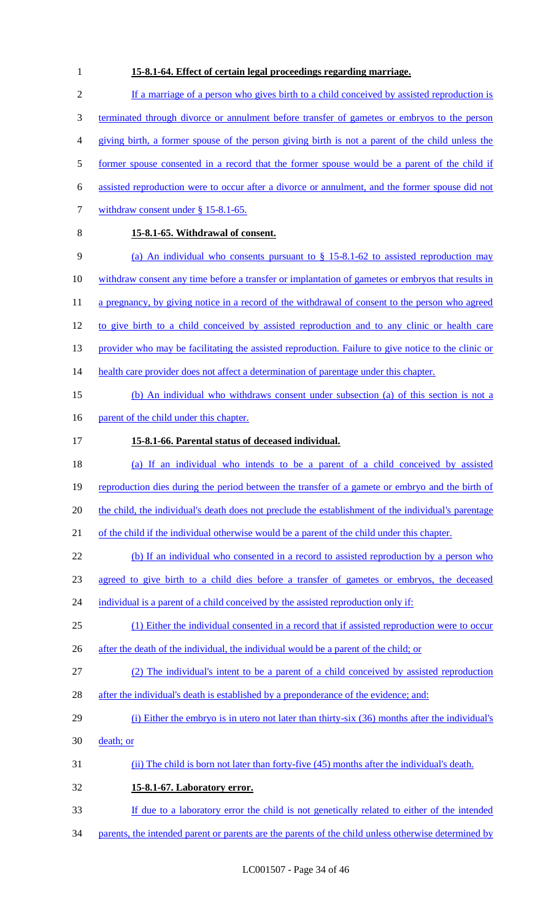1 **15-8.1-64. Effect of certain legal proceedings regarding marriage.** 2 If a marriage of a person who gives birth to a child conceived by assisted reproduction is 3 terminated through divorce or annulment before transfer of gametes or embryos to the person 4 giving birth, a former spouse of the person giving birth is not a parent of the child unless the 5 former spouse consented in a record that the former spouse would be a parent of the child if 6 assisted reproduction were to occur after a divorce or annulment, and the former spouse did not 7 withdraw consent under § 15-8.1-65. 8 **15-8.1-65. Withdrawal of consent.** 9 (a) An individual who consents pursuant to § 15-8.1-62 to assisted reproduction may 10 withdraw consent any time before a transfer or implantation of gametes or embryos that results in 11 a pregnancy, by giving notice in a record of the withdrawal of consent to the person who agreed 12 to give birth to a child conceived by assisted reproduction and to any clinic or health care 13 provider who may be facilitating the assisted reproduction. Failure to give notice to the clinic or 14 health care provider does not affect a determination of parentage under this chapter. 15 (b) An individual who withdraws consent under subsection (a) of this section is not a 16 parent of the child under this chapter. 17 **15-8.1-66. Parental status of deceased individual.** 18 (a) If an individual who intends to be a parent of a child conceived by assisted 19 reproduction dies during the period between the transfer of a gamete or embryo and the birth of 20 the child, the individual's death does not preclude the establishment of the individual's parentage 21 of the child if the individual otherwise would be a parent of the child under this chapter. 22 (b) If an individual who consented in a record to assisted reproduction by a person who 23 agreed to give birth to a child dies before a transfer of gametes or embryos, the deceased 24 individual is a parent of a child conceived by the assisted reproduction only if: 25 (1) Either the individual consented in a record that if assisted reproduction were to occur 26 after the death of the individual, the individual would be a parent of the child; or 27 (2) The individual's intent to be a parent of a child conceived by assisted reproduction 28 after the individual's death is established by a preponderance of the evidence; and: 29 (i) Either the embryo is in utero not later than thirty-six (36) months after the individual's 30 death; or 31 (ii) The child is born not later than forty-five (45) months after the individual's death. 32 **15-8.1-67. Laboratory error.** 33 If due to a laboratory error the child is not genetically related to either of the intended 34 parents, the intended parent or parents are the parents of the child unless otherwise determined by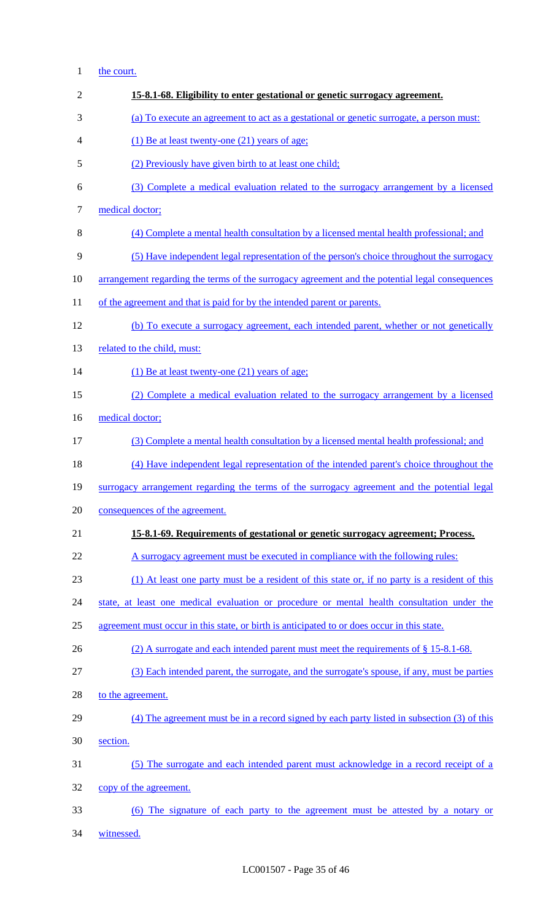| $\mathbf{1}$   | the court.                                                                                      |
|----------------|-------------------------------------------------------------------------------------------------|
| $\overline{2}$ | 15-8.1-68. Eligibility to enter gestational or genetic surrogacy agreement.                     |
| 3              | (a) To execute an agreement to act as a gestational or genetic surrogate, a person must:        |
| 4              | (1) Be at least twenty-one $(21)$ years of age;                                                 |
| 5              | (2) Previously have given birth to at least one child;                                          |
| 6              | (3) Complete a medical evaluation related to the surrogacy arrangement by a licensed            |
| $\tau$         | medical doctor;                                                                                 |
| 8              | (4) Complete a mental health consultation by a licensed mental health professional; and         |
| 9              | (5) Have independent legal representation of the person's choice throughout the surrogacy       |
| 10             | arrangement regarding the terms of the surrogacy agreement and the potential legal consequences |
| 11             | of the agreement and that is paid for by the intended parent or parents.                        |
| 12             | (b) To execute a surrogacy agreement, each intended parent, whether or not genetically          |
| 13             | related to the child, must:                                                                     |
| 14             | (1) Be at least twenty-one $(21)$ years of age;                                                 |
| 15             | (2) Complete a medical evaluation related to the surrogacy arrangement by a licensed            |
| 16             | medical doctor;                                                                                 |
| 17             | (3) Complete a mental health consultation by a licensed mental health professional; and         |
| 18             | (4) Have independent legal representation of the intended parent's choice throughout the        |
| 19             | surrogacy arrangement regarding the terms of the surrogacy agreement and the potential legal    |
| 20             | consequences of the agreement.                                                                  |
| 21             | 15-8.1-69. Requirements of gestational or genetic surrogacy agreement; Process.                 |
| 22             | A surrogacy agreement must be executed in compliance with the following rules:                  |
| 23             | (1) At least one party must be a resident of this state or, if no party is a resident of this   |
| 24             | state, at least one medical evaluation or procedure or mental health consultation under the     |
| 25             | agreement must occur in this state, or birth is anticipated to or does occur in this state.     |
| 26             | (2) A surrogate and each intended parent must meet the requirements of $\S$ 15-8.1-68.          |
| 27             | (3) Each intended parent, the surrogate, and the surrogate's spouse, if any, must be parties    |
| 28             | to the agreement.                                                                               |
| 29             | (4) The agreement must be in a record signed by each party listed in subsection (3) of this     |
| 30             | section.                                                                                        |
| 31             | (5) The surrogate and each intended parent must acknowledge in a record receipt of a            |
| 32             | copy of the agreement.                                                                          |
| 33             | (6) The signature of each party to the agreement must be attested by a notary or                |
| 34             | witnessed.                                                                                      |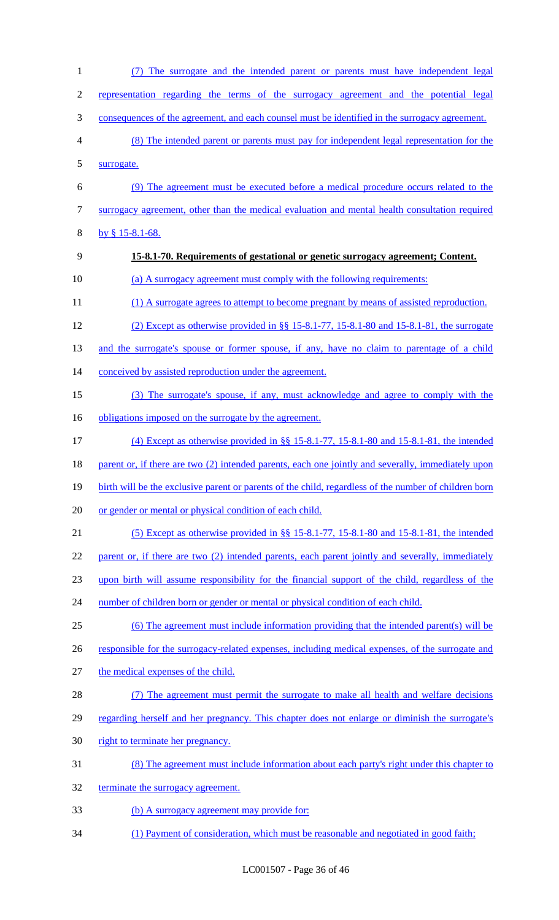| $\mathbf{1}$   | (7) The surrogate and the intended parent or parents must have independent legal                      |
|----------------|-------------------------------------------------------------------------------------------------------|
| $\overline{2}$ | representation regarding the terms of the surrogacy agreement and the potential legal                 |
| 3              | consequences of the agreement, and each counsel must be identified in the surrogacy agreement.        |
| $\overline{4}$ | (8) The intended parent or parents must pay for independent legal representation for the              |
| 5              | surrogate.                                                                                            |
| 6              | (9) The agreement must be executed before a medical procedure occurs related to the                   |
| $\tau$         | surrogacy agreement, other than the medical evaluation and mental health consultation required        |
| $8\,$          | by $$15-8.1-68.$                                                                                      |
| 9              | 15-8.1-70. Requirements of gestational or genetic surrogacy agreement; Content.                       |
| 10             | (a) A surrogacy agreement must comply with the following requirements:                                |
| 11             | (1) A surrogate agrees to attempt to become pregnant by means of assisted reproduction.               |
| 12             | (2) Except as otherwise provided in §§ 15-8.1-77, 15-8.1-80 and 15-8.1-81, the surrogate              |
| 13             | and the surrogate's spouse or former spouse, if any, have no claim to parentage of a child            |
| 14             | conceived by assisted reproduction under the agreement.                                               |
| 15             | (3) The surrogate's spouse, if any, must acknowledge and agree to comply with the                     |
| 16             | obligations imposed on the surrogate by the agreement.                                                |
| 17             | (4) Except as otherwise provided in $\S$ 15-8.1-77, 15-8.1-80 and 15-8.1-81, the intended             |
| 18             | parent or, if there are two (2) intended parents, each one jointly and severally, immediately upon    |
| 19             | birth will be the exclusive parent or parents of the child, regardless of the number of children born |
| 20             | or gender or mental or physical condition of each child.                                              |
| 21             | $(5)$ Except as otherwise provided in §§ 15-8.1-77, 15-8.1-80 and 15-8.1-81, the intended             |
| 22             | parent or, if there are two (2) intended parents, each parent jointly and severally, immediately      |
| 23             | upon birth will assume responsibility for the financial support of the child, regardless of the       |
| 24             | number of children born or gender or mental or physical condition of each child.                      |
| 25             | (6) The agreement must include information providing that the intended parent(s) will be              |
| 26             | responsible for the surrogacy-related expenses, including medical expenses, of the surrogate and      |
| 27             | the medical expenses of the child.                                                                    |
| 28             | (7) The agreement must permit the surrogate to make all health and welfare decisions                  |
| 29             | regarding herself and her pregnancy. This chapter does not enlarge or diminish the surrogate's        |
| 30             | right to terminate her pregnancy.                                                                     |
| 31             | (8) The agreement must include information about each party's right under this chapter to             |
| 32             | terminate the surrogacy agreement.                                                                    |
| 33             | (b) A surrogacy agreement may provide for:                                                            |
| 34             | (1) Payment of consideration, which must be reasonable and negotiated in good faith;                  |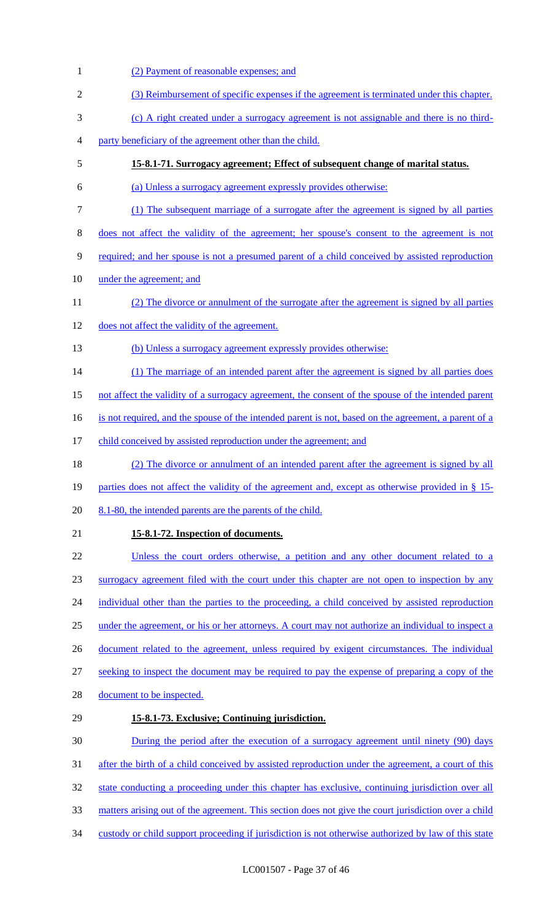(2) Payment of reasonable expenses; and (3) Reimbursement of specific expenses if the agreement is terminated under this chapter. (c) A right created under a surrogacy agreement is not assignable and there is no third- party beneficiary of the agreement other than the child. **15-8.1-71. Surrogacy agreement; Effect of subsequent change of marital status.** (a) Unless a surrogacy agreement expressly provides otherwise: (1) The subsequent marriage of a surrogate after the agreement is signed by all parties does not affect the validity of the agreement; her spouse's consent to the agreement is not required; and her spouse is not a presumed parent of a child conceived by assisted reproduction under the agreement; and (2) The divorce or annulment of the surrogate after the agreement is signed by all parties does not affect the validity of the agreement. (b) Unless a surrogacy agreement expressly provides otherwise: 14 (1) The marriage of an intended parent after the agreement is signed by all parties does not affect the validity of a surrogacy agreement, the consent of the spouse of the intended parent is not required, and the spouse of the intended parent is not, based on the agreement, a parent of a 17 child conceived by assisted reproduction under the agreement; and (2) The divorce or annulment of an intended parent after the agreement is signed by all parties does not affect the validity of the agreement and, except as otherwise provided in § 15- 20 8.1-80, the intended parents are the parents of the child. **15-8.1-72. Inspection of documents.** Unless the court orders otherwise, a petition and any other document related to a surrogacy agreement filed with the court under this chapter are not open to inspection by any 24 individual other than the parties to the proceeding, a child conceived by assisted reproduction under the agreement, or his or her attorneys. A court may not authorize an individual to inspect a 26 document related to the agreement, unless required by exigent circumstances. The individual seeking to inspect the document may be required to pay the expense of preparing a copy of the document to be inspected. **15-8.1-73. Exclusive; Continuing jurisdiction.** 30 During the period after the execution of a surrogacy agreement until ninety (90) days after the birth of a child conceived by assisted reproduction under the agreement, a court of this 32 state conducting a proceeding under this chapter has exclusive, continuing jurisdiction over all matters arising out of the agreement. This section does not give the court jurisdiction over a child custody or child support proceeding if jurisdiction is not otherwise authorized by law of this state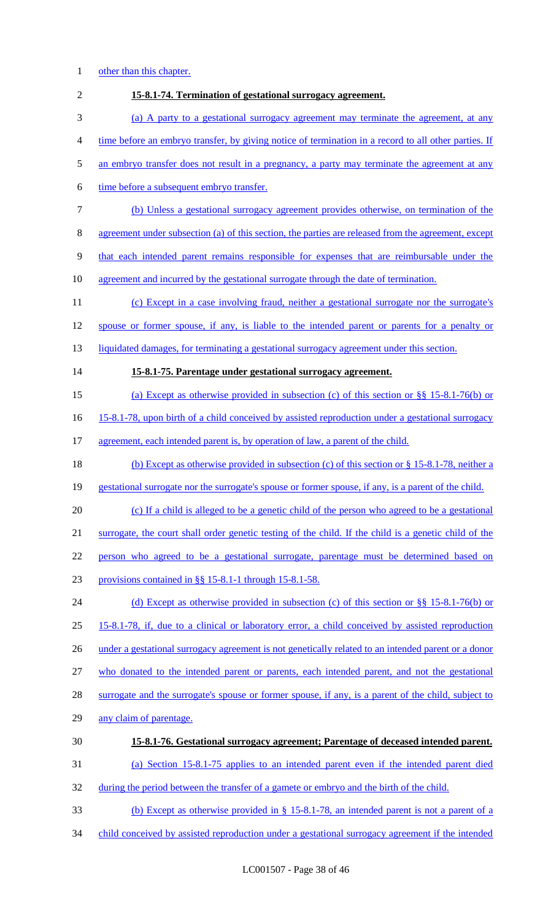# 1 other than this chapter.

| $\overline{2}$           | 15-8.1-74. Termination of gestational surrogacy agreement.                                            |
|--------------------------|-------------------------------------------------------------------------------------------------------|
| 3                        | (a) A party to a gestational surrogacy agreement may terminate the agreement, at any                  |
| $\overline{\mathcal{A}}$ | time before an embryo transfer, by giving notice of termination in a record to all other parties. If  |
| 5                        | an embryo transfer does not result in a pregnancy, a party may terminate the agreement at any         |
| 6                        | time before a subsequent embryo transfer.                                                             |
| $\tau$                   | (b) Unless a gestational surrogacy agreement provides otherwise, on termination of the                |
| $8\,$                    | agreement under subsection (a) of this section, the parties are released from the agreement, except   |
| $\mathbf{9}$             | that each intended parent remains responsible for expenses that are reimbursable under the            |
| 10                       | agreement and incurred by the gestational surrogate through the date of termination.                  |
| 11                       | (c) Except in a case involving fraud, neither a gestational surrogate nor the surrogate's             |
| 12                       | spouse or former spouse, if any, is liable to the intended parent or parents for a penalty or         |
| 13                       | liquidated damages, for terminating a gestational surrogacy agreement under this section.             |
| 14                       | 15-8.1-75. Parentage under gestational surrogacy agreement.                                           |
| 15                       | (a) Except as otherwise provided in subsection (c) of this section or $\S$ 15-8.1-76(b) or            |
| 16                       | 15-8.1-78, upon birth of a child conceived by assisted reproduction under a gestational surrogacy     |
| 17                       | agreement, each intended parent is, by operation of law, a parent of the child.                       |
| 18                       | (b) Except as otherwise provided in subsection (c) of this section or $\S$ 15-8.1-78, neither a       |
| 19                       | gestational surrogate nor the surrogate's spouse or former spouse, if any, is a parent of the child.  |
| 20                       | (c) If a child is alleged to be a genetic child of the person who agreed to be a gestational          |
| 21                       | surrogate, the court shall order genetic testing of the child. If the child is a genetic child of the |
| 22                       | person who agreed to be a gestational surrogate, parentage must be determined based on                |
| 23                       | provisions contained in §§ 15-8.1-1 through 15-8.1-58.                                                |
| 24                       | (d) Except as otherwise provided in subsection (c) of this section or $\S$ 15-8.1-76(b) or            |
| 25                       | 15-8.1-78, if, due to a clinical or laboratory error, a child conceived by assisted reproduction      |
| 26                       | under a gestational surrogacy agreement is not genetically related to an intended parent or a donor   |
| 27                       | who donated to the intended parent or parents, each intended parent, and not the gestational          |
| 28                       | surrogate and the surrogate's spouse or former spouse, if any, is a parent of the child, subject to   |
| 29                       | any claim of parentage.                                                                               |
| 30                       | 15-8.1-76. Gestational surrogacy agreement; Parentage of deceased intended parent.                    |
| 31                       | (a) Section 15-8.1-75 applies to an intended parent even if the intended parent died                  |
| 32                       | during the period between the transfer of a gamete or embryo and the birth of the child.              |
| 33                       | (b) Except as otherwise provided in $\S$ 15-8.1-78, an intended parent is not a parent of a           |
| 34                       | child conceived by assisted reproduction under a gestational surrogacy agreement if the intended      |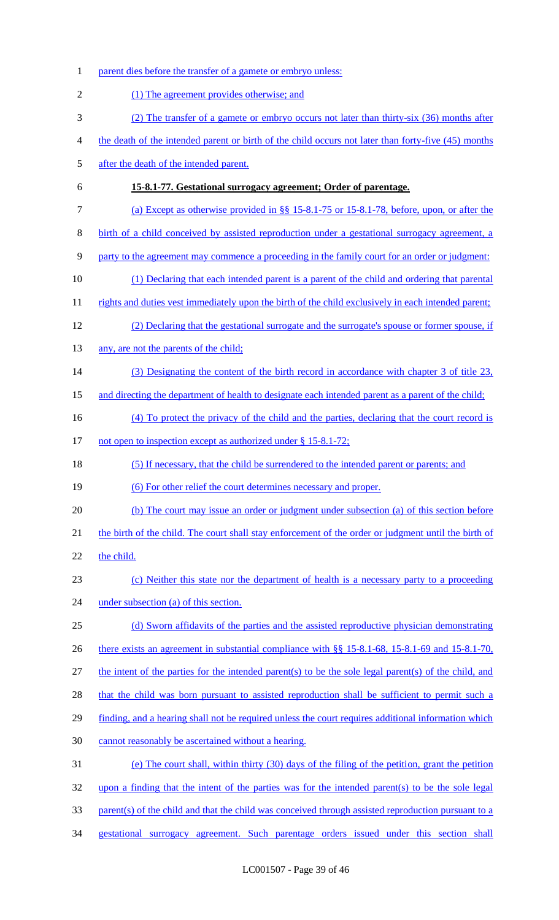1 parent dies before the transfer of a gamete or embryo unless: 2 (1) The agreement provides otherwise; and (2) The transfer of a gamete or embryo occurs not later than thirty-six (36) months after the death of the intended parent or birth of the child occurs not later than forty-five (45) months after the death of the intended parent. **15-8.1-77. Gestational surrogacy agreement; Order of parentage.** (a) Except as otherwise provided in §§ 15-8.1-75 or 15-8.1-78, before, upon, or after the birth of a child conceived by assisted reproduction under a gestational surrogacy agreement, a party to the agreement may commence a proceeding in the family court for an order or judgment: (1) Declaring that each intended parent is a parent of the child and ordering that parental 11 rights and duties vest immediately upon the birth of the child exclusively in each intended parent; (2) Declaring that the gestational surrogate and the surrogate's spouse or former spouse, if 13 any, are not the parents of the child; 14 (3) Designating the content of the birth record in accordance with chapter 3 of title 23, 15 and directing the department of health to designate each intended parent as a parent of the child; 16 (4) To protect the privacy of the child and the parties, declaring that the court record is 17 not open to inspection except as authorized under § 15-8.1-72; (5) If necessary, that the child be surrendered to the intended parent or parents; and (6) For other relief the court determines necessary and proper. (b) The court may issue an order or judgment under subsection (a) of this section before 21 the birth of the child. The court shall stay enforcement of the order or judgment until the birth of the child. (c) Neither this state nor the department of health is a necessary party to a proceeding 24 under subsection (a) of this section. (d) Sworn affidavits of the parties and the assisted reproductive physician demonstrating 26 there exists an agreement in substantial compliance with §§ 15-8.1-68, 15-8.1-69 and 15-8.1-70, the intent of the parties for the intended parent(s) to be the sole legal parent(s) of the child, and 28 that the child was born pursuant to assisted reproduction shall be sufficient to permit such a finding, and a hearing shall not be required unless the court requires additional information which cannot reasonably be ascertained without a hearing. (e) The court shall, within thirty (30) days of the filing of the petition, grant the petition upon a finding that the intent of the parties was for the intended parent(s) to be the sole legal parent(s) of the child and that the child was conceived through assisted reproduction pursuant to a gestational surrogacy agreement. Such parentage orders issued under this section shall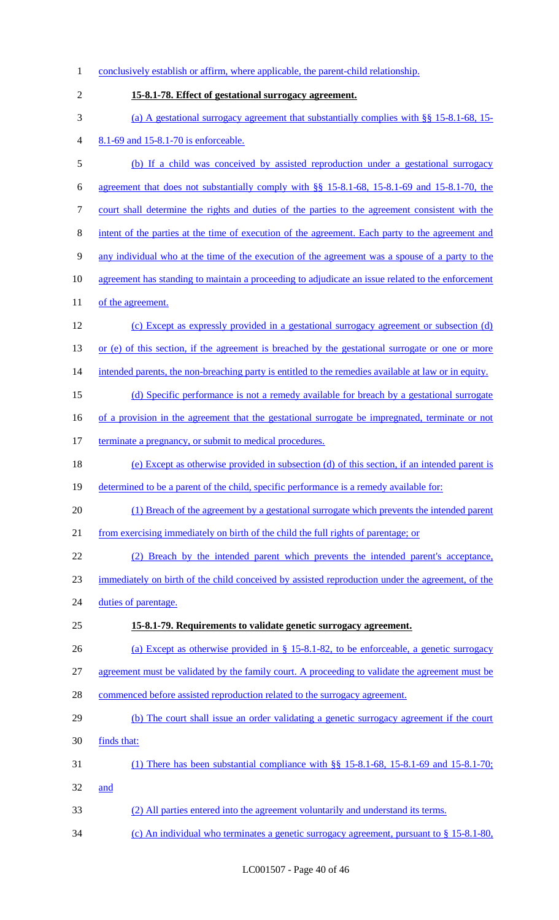| $\mathbf{1}$   | conclusively establish or affirm, where applicable, the parent-child relationship.                   |
|----------------|------------------------------------------------------------------------------------------------------|
| $\overline{2}$ | 15-8.1-78. Effect of gestational surrogacy agreement.                                                |
| 3              | (a) A gestational surrogacy agreement that substantially complies with $\S$ 15-8.1-68, 15-           |
| 4              | 8.1-69 and 15-8.1-70 is enforceable.                                                                 |
| 5              | (b) If a child was conceived by assisted reproduction under a gestational surrogacy                  |
| 6              | agreement that does not substantially comply with §§ 15-8.1-68, 15-8.1-69 and 15-8.1-70, the         |
| 7              | court shall determine the rights and duties of the parties to the agreement consistent with the      |
| 8              | intent of the parties at the time of execution of the agreement. Each party to the agreement and     |
| 9              | any individual who at the time of the execution of the agreement was a spouse of a party to the      |
| 10             | agreement has standing to maintain a proceeding to adjudicate an issue related to the enforcement    |
| 11             | of the agreement.                                                                                    |
| 12             | (c) Except as expressly provided in a gestational surrogacy agreement or subsection (d)              |
| 13             | or (e) of this section, if the agreement is breached by the gestational surrogate or one or more     |
| 14             | intended parents, the non-breaching party is entitled to the remedies available at law or in equity. |
| 15             | (d) Specific performance is not a remedy available for breach by a gestational surrogate             |
| 16             | of a provision in the agreement that the gestational surrogate be impregnated, terminate or not      |
| 17             | terminate a pregnancy, or submit to medical procedures.                                              |
| 18             | (e) Except as otherwise provided in subsection (d) of this section, if an intended parent is         |
| 19             | determined to be a parent of the child, specific performance is a remedy available for:              |
| 20             | (1) Breach of the agreement by a gestational surrogate which prevents the intended parent            |
| 21             | from exercising immediately on birth of the child the full rights of parentage; or                   |
| 22             | (2) Breach by the intended parent which prevents the intended parent's acceptance,                   |
| 23             | immediately on birth of the child conceived by assisted reproduction under the agreement, of the     |
| 24             | duties of parentage.                                                                                 |
| 25             | 15-8.1-79. Requirements to validate genetic surrogacy agreement.                                     |
| 26             | (a) Except as otherwise provided in $\S$ 15-8.1-82, to be enforceable, a genetic surrogacy           |
| 27             | agreement must be validated by the family court. A proceeding to validate the agreement must be      |
| 28             | commenced before assisted reproduction related to the surrogacy agreement.                           |
| 29             | (b) The court shall issue an order validating a genetic surrogacy agreement if the court             |
| 30             | finds that:                                                                                          |
| 31             | (1) There has been substantial compliance with $\S$ $\S$ 15-8.1-68, 15-8.1-69 and 15-8.1-70;         |
| 32             | and                                                                                                  |
| 33             | (2) All parties entered into the agreement voluntarily and understand its terms.                     |
| 34             | (c) An individual who terminates a genetic surrogacy agreement, pursuant to $\S$ 15-8.1-80,          |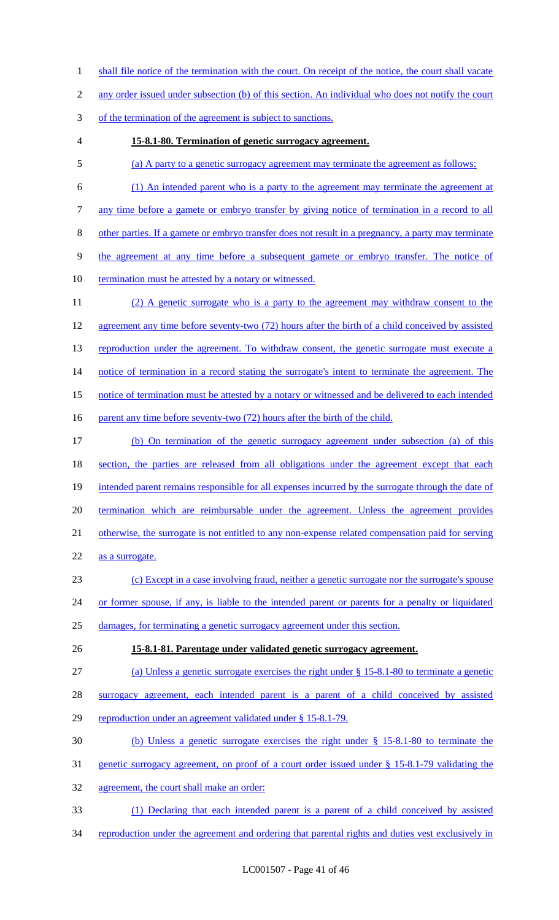- 1 shall file notice of the termination with the court. On receipt of the notice, the court shall vacate
- 2 any order issued under subsection (b) of this section. An individual who does not notify the court
- of the termination of the agreement is subject to sanctions.
- 

# **15-8.1-80. Termination of genetic surrogacy agreement.**

- (a) A party to a genetic surrogacy agreement may terminate the agreement as follows:
- (1) An intended parent who is a party to the agreement may terminate the agreement at any time before a gamete or embryo transfer by giving notice of termination in a record to all other parties. If a gamete or embryo transfer does not result in a pregnancy, a party may terminate
- the agreement at any time before a subsequent gamete or embryo transfer. The notice of
- 10 termination must be attested by a notary or witnessed.
- (2) A genetic surrogate who is a party to the agreement may withdraw consent to the agreement any time before seventy-two (72) hours after the birth of a child conceived by assisted 13 reproduction under the agreement. To withdraw consent, the genetic surrogate must execute a 14 notice of termination in a record stating the surrogate's intent to terminate the agreement. The notice of termination must be attested by a notary or witnessed and be delivered to each intended 16 parent any time before seventy-two (72) hours after the birth of the child.
- (b) On termination of the genetic surrogacy agreement under subsection (a) of this 18 section, the parties are released from all obligations under the agreement except that each intended parent remains responsible for all expenses incurred by the surrogate through the date of 20 termination which are reimbursable under the agreement. Unless the agreement provides otherwise, the surrogate is not entitled to any non-expense related compensation paid for serving as a surrogate. (c) Except in a case involving fraud, neither a genetic surrogate nor the surrogate's spouse
- 24 or former spouse, if any, is liable to the intended parent or parents for a penalty or liquidated
- damages, for terminating a genetic surrogacy agreement under this section.
- 

# **15-8.1-81. Parentage under validated genetic surrogacy agreement.**

(a) Unless a genetic surrogate exercises the right under § 15-8.1-80 to terminate a genetic

surrogacy agreement, each intended parent is a parent of a child conceived by assisted

- reproduction under an agreement validated under § 15-8.1-79.
- (b) Unless a genetic surrogate exercises the right under § 15-8.1-80 to terminate the
- genetic surrogacy agreement, on proof of a court order issued under § 15-8.1-79 validating the
- agreement, the court shall make an order:
- (1) Declaring that each intended parent is a parent of a child conceived by assisted
- 34 reproduction under the agreement and ordering that parental rights and duties vest exclusively in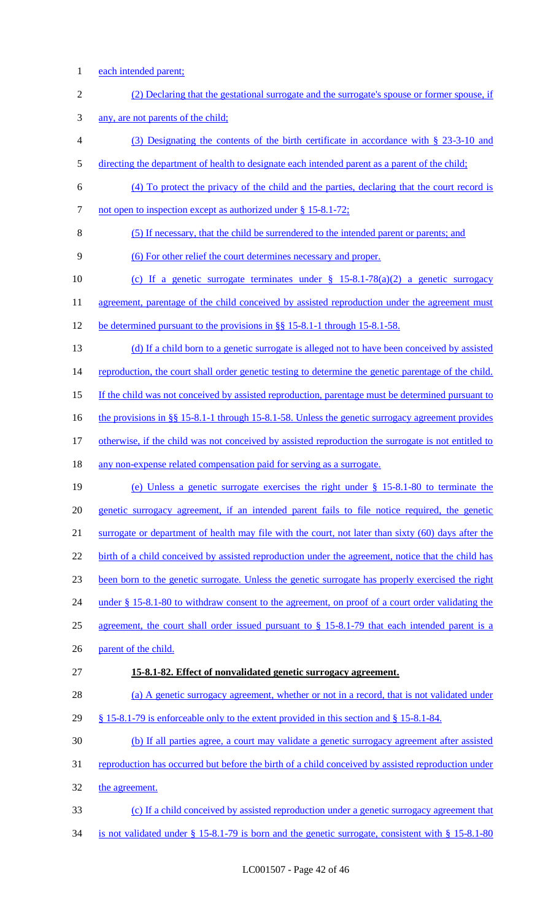- 1 each intended parent;
- 2 (2) Declaring that the gestational surrogate and the surrogate's spouse or former spouse, if 3 any, are not parents of the child;
- 4 (3) Designating the contents of the birth certificate in accordance with § 23-3-10 and
- 5 directing the department of health to designate each intended parent as a parent of the child;
- 6 (4) To protect the privacy of the child and the parties, declaring that the court record is
- 7 not open to inspection except as authorized under § 15-8.1-72;
- 8 (5) If necessary, that the child be surrendered to the intended parent or parents; and
- 9 (6) For other relief the court determines necessary and proper.
- 10 (c) If a genetic surrogate terminates under § 15-8.1-78(a)(2) a genetic surrogacy

11 agreement, parentage of the child conceived by assisted reproduction under the agreement must

- 12 be determined pursuant to the provisions in §§ 15-8.1-1 through 15-8.1-58.
- 13 (d) If a child born to a genetic surrogate is alleged not to have been conceived by assisted

14 reproduction, the court shall order genetic testing to determine the genetic parentage of the child.

15 If the child was not conceived by assisted reproduction, parentage must be determined pursuant to

16 the provisions in §§ 15-8.1-1 through 15-8.1-58. Unless the genetic surrogacy agreement provides

17 otherwise, if the child was not conceived by assisted reproduction the surrogate is not entitled to

18 any non-expense related compensation paid for serving as a surrogate.

 (e) Unless a genetic surrogate exercises the right under § 15-8.1-80 to terminate the genetic surrogacy agreement, if an intended parent fails to file notice required, the genetic surrogate or department of health may file with the court, not later than sixty (60) days after the 22 birth of a child conceived by assisted reproduction under the agreement, notice that the child has been born to the genetic surrogate. Unless the genetic surrogate has properly exercised the right 24 under § 15-8.1-80 to withdraw consent to the agreement, on proof of a court order validating the agreement, the court shall order issued pursuant to § 15-8.1-79 that each intended parent is a

26 parent of the child.

### 27 **15-8.1-82. Effect of nonvalidated genetic surrogacy agreement.**

28 (a) A genetic surrogacy agreement, whether or not in a record, that is not validated under

- 29 § 15-8.1-79 is enforceable only to the extent provided in this section and § 15-8.1-84.
- 30 (b) If all parties agree, a court may validate a genetic surrogacy agreement after assisted
- 31 reproduction has occurred but before the birth of a child conceived by assisted reproduction under
- 32 the agreement.
- 33 (c) If a child conceived by assisted reproduction under a genetic surrogacy agreement that
- 34 is not validated under § 15-8.1-79 is born and the genetic surrogate, consistent with § 15-8.1-80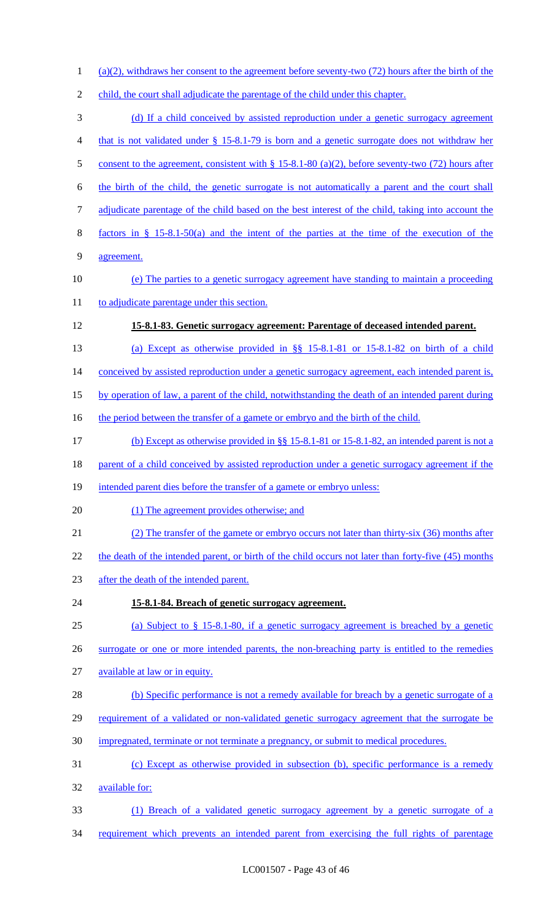(a)(2), withdraws her consent to the agreement before seventy-two (72) hours after the birth of the 2 child, the court shall adjudicate the parentage of the child under this chapter. 3 (d) If a child conceived by assisted reproduction under a genetic surrogacy agreement that is not validated under § 15-8.1-79 is born and a genetic surrogate does not withdraw her 5 consent to the agreement, consistent with § 15-8.1-80 (a)(2), before seventy-two (72) hours after the birth of the child, the genetic surrogate is not automatically a parent and the court shall adjudicate parentage of the child based on the best interest of the child, taking into account the factors in § 15-8.1-50(a) and the intent of the parties at the time of the execution of the agreement. (e) The parties to a genetic surrogacy agreement have standing to maintain a proceeding 11 to adjudicate parentage under this section. **15-8.1-83. Genetic surrogacy agreement: Parentage of deceased intended parent.** (a) Except as otherwise provided in §§ 15-8.1-81 or 15-8.1-82 on birth of a child 14 conceived by assisted reproduction under a genetic surrogacy agreement, each intended parent is, by operation of law, a parent of the child, notwithstanding the death of an intended parent during 16 the period between the transfer of a gamete or embryo and the birth of the child. (b) Except as otherwise provided in §§ 15-8.1-81 or 15-8.1-82, an intended parent is not a 18 parent of a child conceived by assisted reproduction under a genetic surrogacy agreement if the intended parent dies before the transfer of a gamete or embryo unless: 20 (1) The agreement provides otherwise; and (2) The transfer of the gamete or embryo occurs not later than thirty-six (36) months after 22 the death of the intended parent, or birth of the child occurs not later than forty-five (45) months after the death of the intended parent. **15-8.1-84. Breach of genetic surrogacy agreement.** (a) Subject to § 15-8.1-80, if a genetic surrogacy agreement is breached by a genetic 26 surrogate or one or more intended parents, the non-breaching party is entitled to the remedies available at law or in equity. (b) Specific performance is not a remedy available for breach by a genetic surrogate of a 29 requirement of a validated or non-validated genetic surrogacy agreement that the surrogate be impregnated, terminate or not terminate a pregnancy, or submit to medical procedures. (c) Except as otherwise provided in subsection (b), specific performance is a remedy available for: (1) Breach of a validated genetic surrogacy agreement by a genetic surrogate of a 34 requirement which prevents an intended parent from exercising the full rights of parentage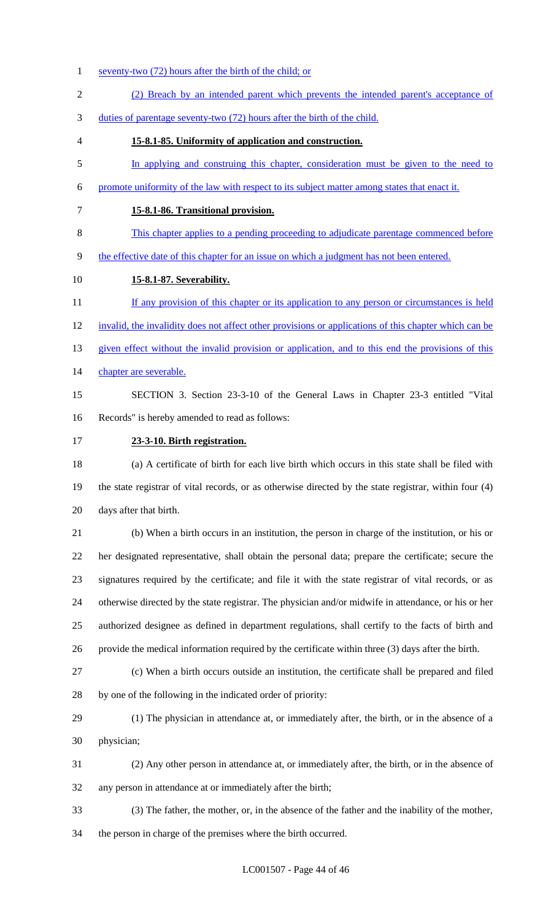- seventy-two (72) hours after the birth of the child; or
- (2) Breach by an intended parent which prevents the intended parent's acceptance of
- duties of parentage seventy-two (72) hours after the birth of the child.
- **15-8.1-85. Uniformity of application and construction.**
- In applying and construing this chapter, consideration must be given to the need to
- promote uniformity of the law with respect to its subject matter among states that enact it.
- **15-8.1-86. Transitional provision.**
- This chapter applies to a pending proceeding to adjudicate parentage commenced before the effective date of this chapter for an issue on which a judgment has not been entered.
- **15-8.1-87. Severability.**
- 11 If any provision of this chapter or its application to any person or circumstances is held invalid, the invalidity does not affect other provisions or applications of this chapter which can be 13 given effect without the invalid provision or application, and to this end the provisions of this
- 14 chapter are severable.
- SECTION 3. Section 23-3-10 of the General Laws in Chapter 23-3 entitled "Vital Records" is hereby amended to read as follows:
- 

### **23-3-10. Birth registration.**

 (a) A certificate of birth for each live birth which occurs in this state shall be filed with the state registrar of vital records, or as otherwise directed by the state registrar, within four (4) days after that birth.

 (b) When a birth occurs in an institution, the person in charge of the institution, or his or her designated representative, shall obtain the personal data; prepare the certificate; secure the signatures required by the certificate; and file it with the state registrar of vital records, or as otherwise directed by the state registrar. The physician and/or midwife in attendance, or his or her authorized designee as defined in department regulations, shall certify to the facts of birth and provide the medical information required by the certificate within three (3) days after the birth.

- (c) When a birth occurs outside an institution, the certificate shall be prepared and filed by one of the following in the indicated order of priority:
- (1) The physician in attendance at, or immediately after, the birth, or in the absence of a physician;
- (2) Any other person in attendance at, or immediately after, the birth, or in the absence of any person in attendance at or immediately after the birth;
- (3) The father, the mother, or, in the absence of the father and the inability of the mother, the person in charge of the premises where the birth occurred.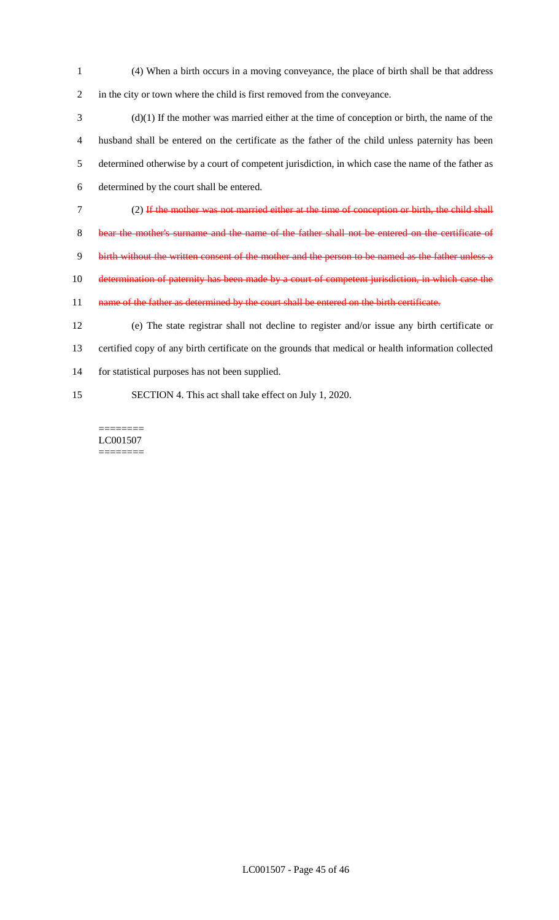- (4) When a birth occurs in a moving conveyance, the place of birth shall be that address in the city or town where the child is first removed from the conveyance.
- (d)(1) If the mother was married either at the time of conception or birth, the name of the husband shall be entered on the certificate as the father of the child unless paternity has been determined otherwise by a court of competent jurisdiction, in which case the name of the father as
- determined by the court shall be entered.
- (2) If the mother was not married either at the time of conception or birth, the child shall
- bear the mother's surname and the name of the father shall not be entered on the certificate of
- birth without the written consent of the mother and the person to be named as the father unless a
- 10 determination of paternity has been made by a court of competent jurisdiction, in which case the
- 11 name of the father as determined by the court shall be entered on the birth certificate.
- (e) The state registrar shall not decline to register and/or issue any birth certificate or certified copy of any birth certificate on the grounds that medical or health information collected for statistical purposes has not been supplied.
- SECTION 4. This act shall take effect on July 1, 2020.

======== LC001507 ========